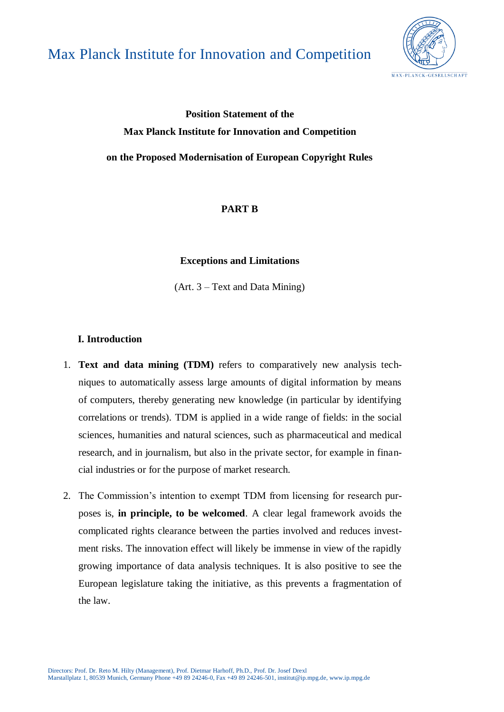## Max Planck Institute for Innovation and Competition



**Position Statement of the Max Planck Institute for Innovation and Competition on the Proposed Modernisation of European Copyright Rules**

#### **PART B**

#### **Exceptions and Limitations**

(Art. 3 – Text and Data Mining)

#### **I. Introduction**

- 1. **Text and data mining (TDM)** refers to comparatively new analysis techniques to automatically assess large amounts of digital information by means of computers, thereby generating new knowledge (in particular by identifying correlations or trends). TDM is applied in a wide range of fields: in the social sciences, humanities and natural sciences, such as pharmaceutical and medical research, and in journalism, but also in the private sector, for example in financial industries or for the purpose of market research.
- 2. The Commission's intention to exempt TDM from licensing for research purposes is, **in principle, to be welcomed**. A clear legal framework avoids the complicated rights clearance between the parties involved and reduces investment risks. The innovation effect will likely be immense in view of the rapidly growing importance of data analysis techniques. It is also positive to see the European legislature taking the initiative, as this prevents a fragmentation of the law.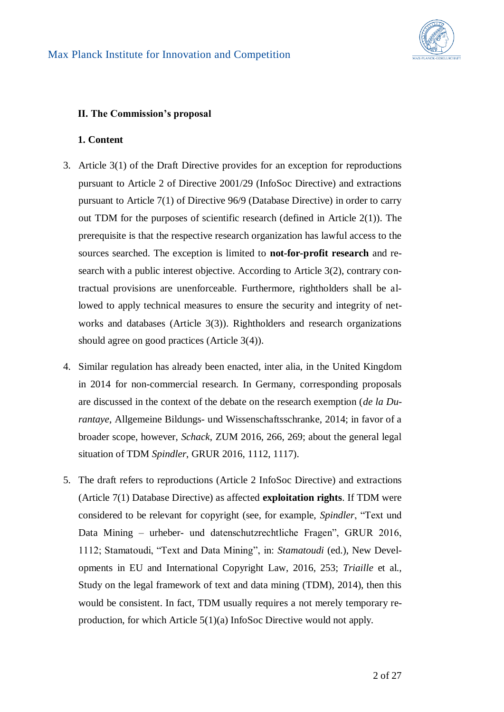

#### **II. The Commission's proposal**

#### **1. Content**

- 3. Article 3(1) of the Draft Directive provides for an exception for reproductions pursuant to Article 2 of Directive 2001/29 (InfoSoc Directive) and extractions pursuant to Article 7(1) of Directive 96/9 (Database Directive) in order to carry out TDM for the purposes of scientific research (defined in Article 2(1)). The prerequisite is that the respective research organization has lawful access to the sources searched. The exception is limited to **not-for-profit research** and research with a public interest objective. According to Article 3(2), contrary contractual provisions are unenforceable. Furthermore, rightholders shall be allowed to apply technical measures to ensure the security and integrity of networks and databases (Article 3(3)). Rightholders and research organizations should agree on good practices (Article 3(4)).
- 4. Similar regulation has already been enacted, inter alia, in the United Kingdom in 2014 for non-commercial research. In Germany, corresponding proposals are discussed in the context of the debate on the research exemption (*de la Durantaye*, Allgemeine Bildungs- und Wissenschaftsschranke, 2014; in favor of a broader scope, however, *Schack*, ZUM 2016, 266, 269; about the general legal situation of TDM *Spindler*, GRUR 2016, 1112, 1117).
- 5. The draft refers to reproductions (Article 2 InfoSoc Directive) and extractions (Article 7(1) Database Directive) as affected **exploitation rights**. If TDM were considered to be relevant for copyright (see, for example, *Spindler*, "Text und Data Mining – urheber- und datenschutzrechtliche Fragen", GRUR 2016, 1112; Stamatoudi, "Text and Data Mining", in: *Stamatoudi* (ed.), New Developments in EU and International Copyright Law, 2016, 253; *Triaille* et al., Study on the legal framework of text and data mining (TDM), 2014), then this would be consistent. In fact, TDM usually requires a not merely temporary reproduction, for which Article 5(1)(a) InfoSoc Directive would not apply.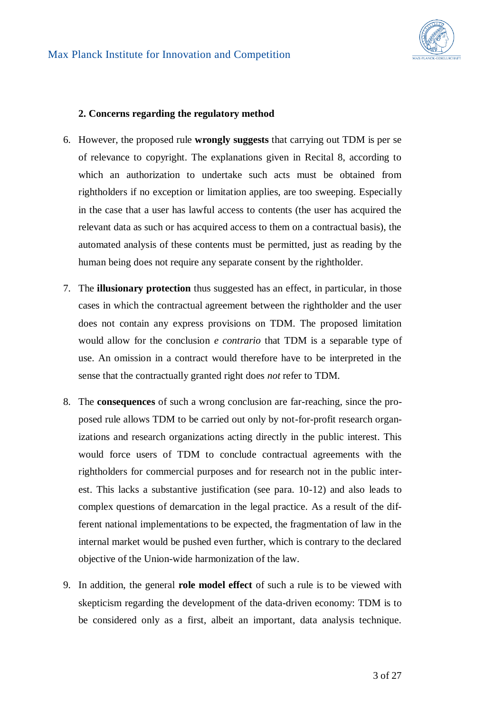

#### **2. Concerns regarding the regulatory method**

- 6. However, the proposed rule **wrongly suggests** that carrying out TDM is per se of relevance to copyright. The explanations given in Recital 8, according to which an authorization to undertake such acts must be obtained from rightholders if no exception or limitation applies, are too sweeping. Especially in the case that a user has lawful access to contents (the user has acquired the relevant data as such or has acquired access to them on a contractual basis), the automated analysis of these contents must be permitted, just as reading by the human being does not require any separate consent by the rightholder.
- 7. The **illusionary protection** thus suggested has an effect, in particular, in those cases in which the contractual agreement between the rightholder and the user does not contain any express provisions on TDM. The proposed limitation would allow for the conclusion *e contrario* that TDM is a separable type of use. An omission in a contract would therefore have to be interpreted in the sense that the contractually granted right does *not* refer to TDM.
- 8. The **consequences** of such a wrong conclusion are far-reaching, since the proposed rule allows TDM to be carried out only by not-for-profit research organizations and research organizations acting directly in the public interest. This would force users of TDM to conclude contractual agreements with the rightholders for commercial purposes and for research not in the public interest. This lacks a substantive justification (see para. 10-12) and also leads to complex questions of demarcation in the legal practice. As a result of the different national implementations to be expected, the fragmentation of law in the internal market would be pushed even further, which is contrary to the declared objective of the Union-wide harmonization of the law.
- 9. In addition, the general **role model effect** of such a rule is to be viewed with skepticism regarding the development of the data-driven economy: TDM is to be considered only as a first, albeit an important, data analysis technique.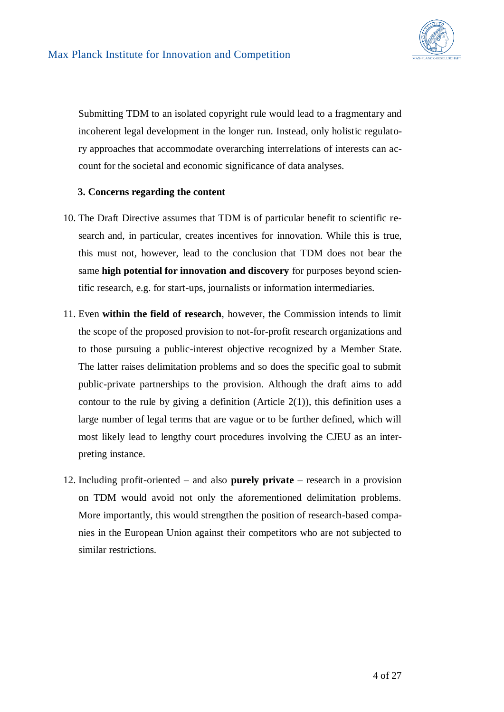

Submitting TDM to an isolated copyright rule would lead to a fragmentary and incoherent legal development in the longer run. Instead, only holistic regulatory approaches that accommodate overarching interrelations of interests can account for the societal and economic significance of data analyses.

#### **3. Concerns regarding the content**

- 10. The Draft Directive assumes that TDM is of particular benefit to scientific research and, in particular, creates incentives for innovation. While this is true, this must not, however, lead to the conclusion that TDM does not bear the same **high potential for innovation and discovery** for purposes beyond scientific research, e.g. for start-ups, journalists or information intermediaries.
- 11. Even **within the field of research**, however, the Commission intends to limit the scope of the proposed provision to not-for-profit research organizations and to those pursuing a public-interest objective recognized by a Member State. The latter raises delimitation problems and so does the specific goal to submit public-private partnerships to the provision. Although the draft aims to add contour to the rule by giving a definition (Article  $2(1)$ ), this definition uses a large number of legal terms that are vague or to be further defined, which will most likely lead to lengthy court procedures involving the CJEU as an interpreting instance.
- 12. Including profit-oriented and also **purely private** research in a provision on TDM would avoid not only the aforementioned delimitation problems. More importantly, this would strengthen the position of research-based companies in the European Union against their competitors who are not subjected to similar restrictions.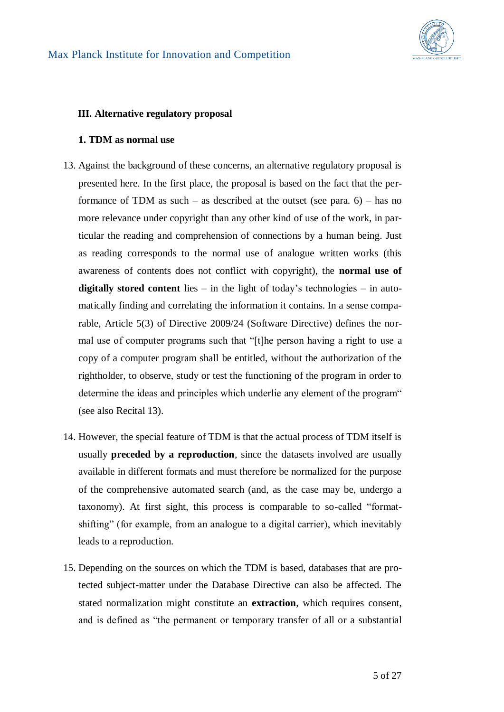

#### **III. Alternative regulatory proposal**

#### **1. TDM as normal use**

- 13. Against the background of these concerns, an alternative regulatory proposal is presented here. In the first place, the proposal is based on the fact that the performance of TDM as such – as described at the outset (see para.  $6$ ) – has no more relevance under copyright than any other kind of use of the work, in particular the reading and comprehension of connections by a human being. Just as reading corresponds to the normal use of analogue written works (this awareness of contents does not conflict with copyright), the **normal use of digitally stored content** lies – in the light of today's technologies – in automatically finding and correlating the information it contains. In a sense comparable, Article 5(3) of Directive 2009/24 (Software Directive) defines the normal use of computer programs such that "[t]he person having a right to use a copy of a computer program shall be entitled, without the authorization of the rightholder, to observe, study or test the functioning of the program in order to determine the ideas and principles which underlie any element of the program" (see also Recital 13).
- 14. However, the special feature of TDM is that the actual process of TDM itself is usually **preceded by a reproduction**, since the datasets involved are usually available in different formats and must therefore be normalized for the purpose of the comprehensive automated search (and, as the case may be, undergo a taxonomy). At first sight, this process is comparable to so-called "formatshifting" (for example, from an analogue to a digital carrier), which inevitably leads to a reproduction.
- 15. Depending on the sources on which the TDM is based, databases that are protected subject-matter under the Database Directive can also be affected. The stated normalization might constitute an **extraction**, which requires consent, and is defined as "the permanent or temporary transfer of all or a substantial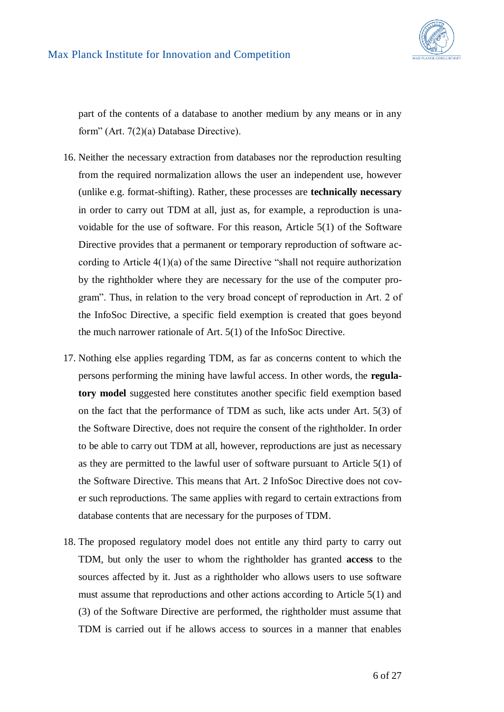

part of the contents of a database to another medium by any means or in any form" (Art. 7(2)(a) Database Directive).

- 16. Neither the necessary extraction from databases nor the reproduction resulting from the required normalization allows the user an independent use, however (unlike e.g. format-shifting). Rather, these processes are **technically necessary** in order to carry out TDM at all, just as, for example, a reproduction is unavoidable for the use of software. For this reason, Article 5(1) of the Software Directive provides that a permanent or temporary reproduction of software according to Article 4(1)(a) of the same Directive "shall not require authorization by the rightholder where they are necessary for the use of the computer program". Thus, in relation to the very broad concept of reproduction in Art. 2 of the InfoSoc Directive, a specific field exemption is created that goes beyond the much narrower rationale of Art. 5(1) of the InfoSoc Directive.
- 17. Nothing else applies regarding TDM, as far as concerns content to which the persons performing the mining have lawful access. In other words, the **regulatory model** suggested here constitutes another specific field exemption based on the fact that the performance of TDM as such, like acts under Art. 5(3) of the Software Directive, does not require the consent of the rightholder. In order to be able to carry out TDM at all, however, reproductions are just as necessary as they are permitted to the lawful user of software pursuant to Article 5(1) of the Software Directive. This means that Art. 2 InfoSoc Directive does not cover such reproductions. The same applies with regard to certain extractions from database contents that are necessary for the purposes of TDM.
- 18. The proposed regulatory model does not entitle any third party to carry out TDM, but only the user to whom the rightholder has granted **access** to the sources affected by it. Just as a rightholder who allows users to use software must assume that reproductions and other actions according to Article 5(1) and (3) of the Software Directive are performed, the rightholder must assume that TDM is carried out if he allows access to sources in a manner that enables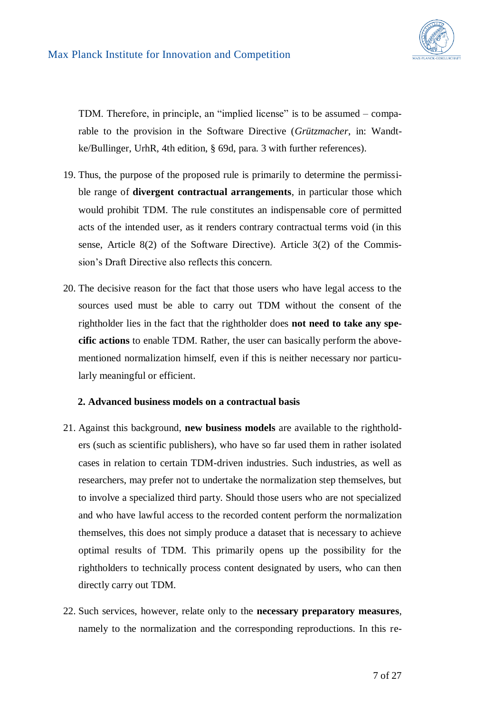

TDM. Therefore, in principle, an "implied license" is to be assumed – comparable to the provision in the Software Directive (*Grützmacher*, in: Wandtke/Bullinger, UrhR, 4th edition, § 69d, para. 3 with further references).

- 19. Thus, the purpose of the proposed rule is primarily to determine the permissible range of **divergent contractual arrangements**, in particular those which would prohibit TDM. The rule constitutes an indispensable core of permitted acts of the intended user, as it renders contrary contractual terms void (in this sense, Article 8(2) of the Software Directive). Article 3(2) of the Commission's Draft Directive also reflects this concern.
- 20. The decisive reason for the fact that those users who have legal access to the sources used must be able to carry out TDM without the consent of the rightholder lies in the fact that the rightholder does **not need to take any specific actions** to enable TDM. Rather, the user can basically perform the abovementioned normalization himself, even if this is neither necessary nor particularly meaningful or efficient.

#### **2. Advanced business models on a contractual basis**

- 21. Against this background, **new business models** are available to the rightholders (such as scientific publishers), who have so far used them in rather isolated cases in relation to certain TDM-driven industries. Such industries, as well as researchers, may prefer not to undertake the normalization step themselves, but to involve a specialized third party. Should those users who are not specialized and who have lawful access to the recorded content perform the normalization themselves, this does not simply produce a dataset that is necessary to achieve optimal results of TDM. This primarily opens up the possibility for the rightholders to technically process content designated by users, who can then directly carry out TDM.
- 22. Such services, however, relate only to the **necessary preparatory measures**, namely to the normalization and the corresponding reproductions. In this re-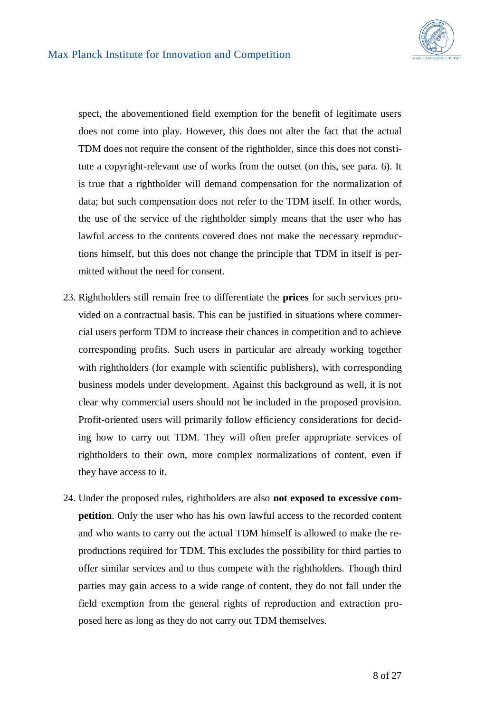

spect, the abovementioned field exemption for the benefit of legitimate users does not come into play. However, this does not alter the fact that the actual TDM does not require the consent of the rightholder, since this does not constitute a copyright-relevant use of works from the outset (on this, see para. 6). It is true that a rightholder will demand compensation for the normalization of data; but such compensation does not refer to the TDM itself. In other words, the use of the service of the rightholder simply means that the user who has lawful access to the contents covered does not make the necessary reproductions himself, but this does not change the principle that TDM in itself is permitted without the need for consent.

- 23. Rightholders still remain free to differentiate the **prices** for such services provided on a contractual basis. This can be justified in situations where commercial users perform TDM to increase their chances in competition and to achieve corresponding profits. Such users in particular are already working together with rightholders (for example with scientific publishers), with corresponding business models under development. Against this background as well, it is not clear why commercial users should not be included in the proposed provision. Profit-oriented users will primarily follow efficiency considerations for deciding how to carry out TDM. They will often prefer appropriate services of rightholders to their own, more complex normalizations of content, even if they have access to it.
- 24. Under the proposed rules, rightholders are also **not exposed to excessive competition**. Only the user who has his own lawful access to the recorded content and who wants to carry out the actual TDM himself is allowed to make the reproductions required for TDM. This excludes the possibility for third parties to offer similar services and to thus compete with the rightholders. Though third parties may gain access to a wide range of content, they do not fall under the field exemption from the general rights of reproduction and extraction proposed here as long as they do not carry out TDM themselves.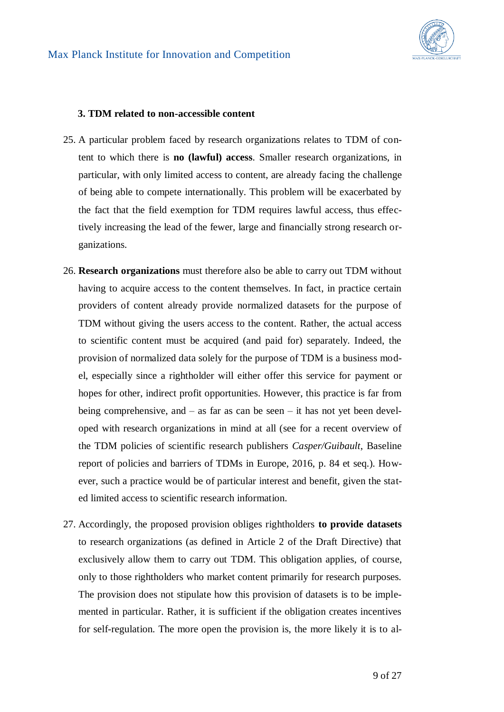

#### **3. TDM related to non-accessible content**

- 25. A particular problem faced by research organizations relates to TDM of content to which there is **no (lawful) access**. Smaller research organizations, in particular, with only limited access to content, are already facing the challenge of being able to compete internationally. This problem will be exacerbated by the fact that the field exemption for TDM requires lawful access, thus effectively increasing the lead of the fewer, large and financially strong research organizations.
- 26. **Research organizations** must therefore also be able to carry out TDM without having to acquire access to the content themselves. In fact, in practice certain providers of content already provide normalized datasets for the purpose of TDM without giving the users access to the content. Rather, the actual access to scientific content must be acquired (and paid for) separately. Indeed, the provision of normalized data solely for the purpose of TDM is a business model, especially since a rightholder will either offer this service for payment or hopes for other, indirect profit opportunities. However, this practice is far from being comprehensive, and  $-$  as far as can be seen  $-$  it has not yet been developed with research organizations in mind at all (see for a recent overview of the TDM policies of scientific research publishers *Casper/Guibault*, Baseline report of policies and barriers of TDMs in Europe, 2016, p. 84 et seq.). However, such a practice would be of particular interest and benefit, given the stated limited access to scientific research information.
- 27. Accordingly, the proposed provision obliges rightholders **to provide datasets** to research organizations (as defined in Article 2 of the Draft Directive) that exclusively allow them to carry out TDM. This obligation applies, of course, only to those rightholders who market content primarily for research purposes. The provision does not stipulate how this provision of datasets is to be implemented in particular. Rather, it is sufficient if the obligation creates incentives for self-regulation. The more open the provision is, the more likely it is to al-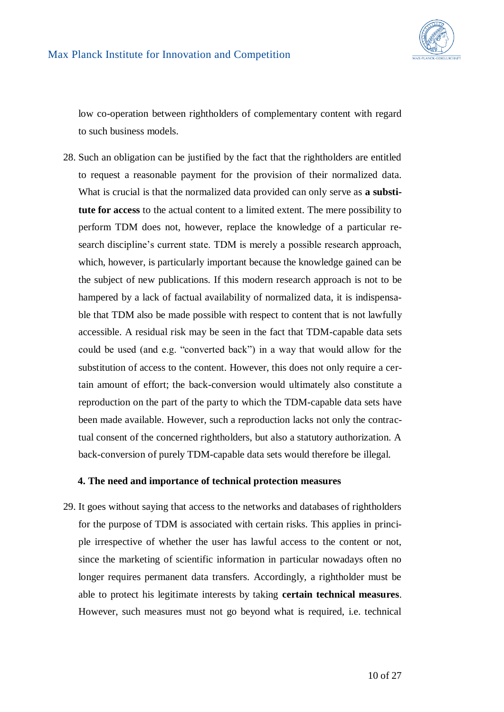

low co-operation between rightholders of complementary content with regard to such business models.

28. Such an obligation can be justified by the fact that the rightholders are entitled to request a reasonable payment for the provision of their normalized data. What is crucial is that the normalized data provided can only serve as **a substitute for access** to the actual content to a limited extent. The mere possibility to perform TDM does not, however, replace the knowledge of a particular research discipline's current state. TDM is merely a possible research approach, which, however, is particularly important because the knowledge gained can be the subject of new publications. If this modern research approach is not to be hampered by a lack of factual availability of normalized data, it is indispensable that TDM also be made possible with respect to content that is not lawfully accessible. A residual risk may be seen in the fact that TDM-capable data sets could be used (and e.g. "converted back") in a way that would allow for the substitution of access to the content. However, this does not only require a certain amount of effort; the back-conversion would ultimately also constitute a reproduction on the part of the party to which the TDM-capable data sets have been made available. However, such a reproduction lacks not only the contractual consent of the concerned rightholders, but also a statutory authorization. A back-conversion of purely TDM-capable data sets would therefore be illegal.

#### **4. The need and importance of technical protection measures**

29. It goes without saying that access to the networks and databases of rightholders for the purpose of TDM is associated with certain risks. This applies in principle irrespective of whether the user has lawful access to the content or not, since the marketing of scientific information in particular nowadays often no longer requires permanent data transfers. Accordingly, a rightholder must be able to protect his legitimate interests by taking **certain technical measures**. However, such measures must not go beyond what is required, i.e. technical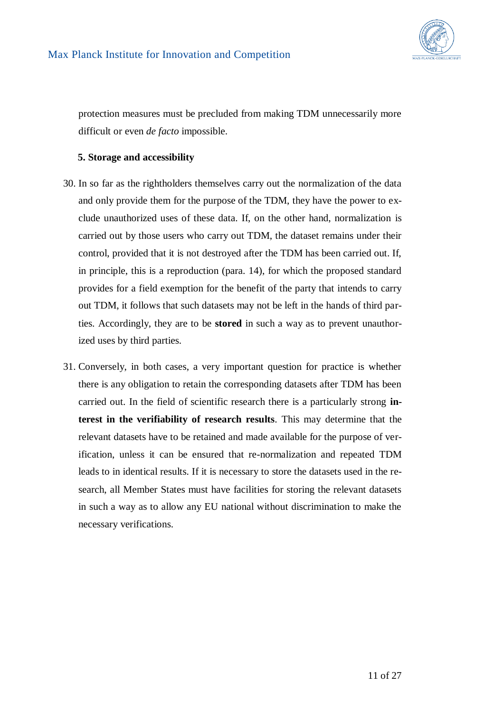

protection measures must be precluded from making TDM unnecessarily more difficult or even *de facto* impossible.

## **5. Storage and accessibility**

- 30. In so far as the rightholders themselves carry out the normalization of the data and only provide them for the purpose of the TDM, they have the power to exclude unauthorized uses of these data. If, on the other hand, normalization is carried out by those users who carry out TDM, the dataset remains under their control, provided that it is not destroyed after the TDM has been carried out. If, in principle, this is a reproduction (para. 14), for which the proposed standard provides for a field exemption for the benefit of the party that intends to carry out TDM, it follows that such datasets may not be left in the hands of third parties. Accordingly, they are to be **stored** in such a way as to prevent unauthorized uses by third parties.
- 31. Conversely, in both cases, a very important question for practice is whether there is any obligation to retain the corresponding datasets after TDM has been carried out. In the field of scientific research there is a particularly strong **interest in the verifiability of research results**. This may determine that the relevant datasets have to be retained and made available for the purpose of verification, unless it can be ensured that re-normalization and repeated TDM leads to in identical results. If it is necessary to store the datasets used in the research, all Member States must have facilities for storing the relevant datasets in such a way as to allow any EU national without discrimination to make the necessary verifications.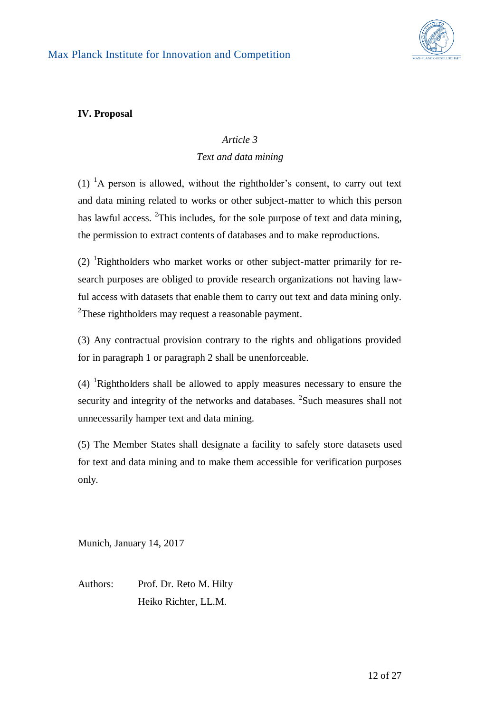

## **IV. Proposal**

# *Article 3*

## *Text and data mining*

(1)  $\Delta$  person is allowed, without the rightholder's consent, to carry out text and data mining related to works or other subject-matter to which this person has lawful access.  $2$ This includes, for the sole purpose of text and data mining, the permission to extract contents of databases and to make reproductions.

(2) <sup>1</sup>Rightholders who market works or other subject-matter primarily for research purposes are obliged to provide research organizations not having lawful access with datasets that enable them to carry out text and data mining only.  $2$ These rightholders may request a reasonable payment.

(3) Any contractual provision contrary to the rights and obligations provided for in paragraph 1 or paragraph 2 shall be unenforceable.

(4) <sup>1</sup>Rightholders shall be allowed to apply measures necessary to ensure the security and integrity of the networks and databases. <sup>2</sup>Such measures shall not unnecessarily hamper text and data mining.

(5) The Member States shall designate a facility to safely store datasets used for text and data mining and to make them accessible for verification purposes only.

Munich, January 14, 2017

Authors: Prof. Dr. Reto M. Hilty Heiko Richter, LL.M.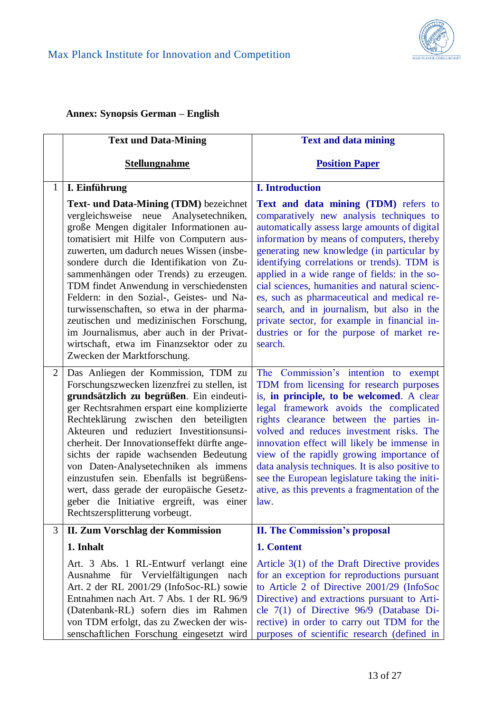

## **Annex: Synopsis German – English**

|                | <b>Text und Data-Mining</b>                                                                                                                                                                                                                                                                                                                                                                                                                                                                                                                                                                                         | <b>Text and data mining</b>                                                                                                                                                                                                                                                                                                                                                                                                                                                                                                                                                        |
|----------------|---------------------------------------------------------------------------------------------------------------------------------------------------------------------------------------------------------------------------------------------------------------------------------------------------------------------------------------------------------------------------------------------------------------------------------------------------------------------------------------------------------------------------------------------------------------------------------------------------------------------|------------------------------------------------------------------------------------------------------------------------------------------------------------------------------------------------------------------------------------------------------------------------------------------------------------------------------------------------------------------------------------------------------------------------------------------------------------------------------------------------------------------------------------------------------------------------------------|
|                | Stellungnahme                                                                                                                                                                                                                                                                                                                                                                                                                                                                                                                                                                                                       | <b>Position Paper</b>                                                                                                                                                                                                                                                                                                                                                                                                                                                                                                                                                              |
| $\mathbf{1}$   | I. Einführung                                                                                                                                                                                                                                                                                                                                                                                                                                                                                                                                                                                                       | <b>I.</b> Introduction                                                                                                                                                                                                                                                                                                                                                                                                                                                                                                                                                             |
|                | Text- und Data-Mining (TDM) bezeichnet<br>vergleichsweise neue Analysetechniken,<br>große Mengen digitaler Informationen au-<br>tomatisiert mit Hilfe von Computern aus-<br>zuwerten, um dadurch neues Wissen (insbe-<br>sondere durch die Identifikation von Zu-<br>sammenhängen oder Trends) zu erzeugen.<br>TDM findet Anwendung in verschiedensten<br>Feldern: in den Sozial-, Geistes- und Na-<br>turwissenschaften, so etwa in der pharma-<br>zeutischen und medizinischen Forschung,<br>im Journalismus, aber auch in der Privat-<br>wirtschaft, etwa im Finanzsektor oder zu<br>Zwecken der Marktforschung. | Text and data mining (TDM) refers to<br>comparatively new analysis techniques to<br>automatically assess large amounts of digital<br>information by means of computers, thereby<br>generating new knowledge (in particular by<br>identifying correlations or trends). TDM is<br>applied in a wide range of fields: in the so-<br>cial sciences, humanities and natural scienc-<br>es, such as pharmaceutical and medical re-<br>search, and in journalism, but also in the<br>private sector, for example in financial in-<br>dustries or for the purpose of market re-<br>search. |
| $\overline{2}$ | Das Anliegen der Kommission, TDM zu<br>Forschungszwecken lizenzfrei zu stellen, ist<br>grundsätzlich zu begrüßen. Ein eindeuti-<br>ger Rechtsrahmen erspart eine komplizierte<br>Rechteklärung zwischen den beteiligten<br>Akteuren und reduziert Investitionsunsi-<br>cherheit. Der Innovationseffekt dürfte ange-<br>sichts der rapide wachsenden Bedeutung<br>von Daten-Analysetechniken als immens<br>einzustufen sein. Ebenfalls ist begrüßens-<br>wert, dass gerade der europäische Gesetz-<br>geber die Initiative ergreift, was einer<br>Rechtszersplitterung vorbeugt.                                     | The Commission's intention to exempt<br>TDM from licensing for research purposes<br>is, in principle, to be welcomed. A clear<br>legal framework avoids the complicated<br>rights clearance between the parties in-<br>volved and reduces investment risks. The<br>innovation effect will likely be immense in<br>view of the rapidly growing importance of<br>data analysis techniques. It is also positive to<br>see the European legislature taking the initi-<br>ative, as this prevents a fragmentation of the<br>law.                                                        |
| 3              | <b>II. Zum Vorschlag der Kommission</b>                                                                                                                                                                                                                                                                                                                                                                                                                                                                                                                                                                             | <b>II. The Commission's proposal</b>                                                                                                                                                                                                                                                                                                                                                                                                                                                                                                                                               |
|                | 1. Inhalt                                                                                                                                                                                                                                                                                                                                                                                                                                                                                                                                                                                                           | 1. Content                                                                                                                                                                                                                                                                                                                                                                                                                                                                                                                                                                         |
|                | Art. 3 Abs. 1 RL-Entwurf verlangt eine<br>Ausnahme für Vervielfältigungen<br>nach<br>Art. 2 der RL 2001/29 (InfoSoc-RL) sowie<br>Entnahmen nach Art. 7 Abs. 1 der RL 96/9<br>(Datenbank-RL) sofern dies im Rahmen<br>von TDM erfolgt, das zu Zwecken der wis-<br>senschaftlichen Forschung eingesetzt wird                                                                                                                                                                                                                                                                                                          | Article $3(1)$ of the Draft Directive provides<br>for an exception for reproductions pursuant<br>to Article 2 of Directive 2001/29 (InfoSoc<br>Directive) and extractions pursuant to Arti-<br>cle 7(1) of Directive 96/9 (Database Di-<br>rective) in order to carry out TDM for the<br>purposes of scientific research (defined in                                                                                                                                                                                                                                               |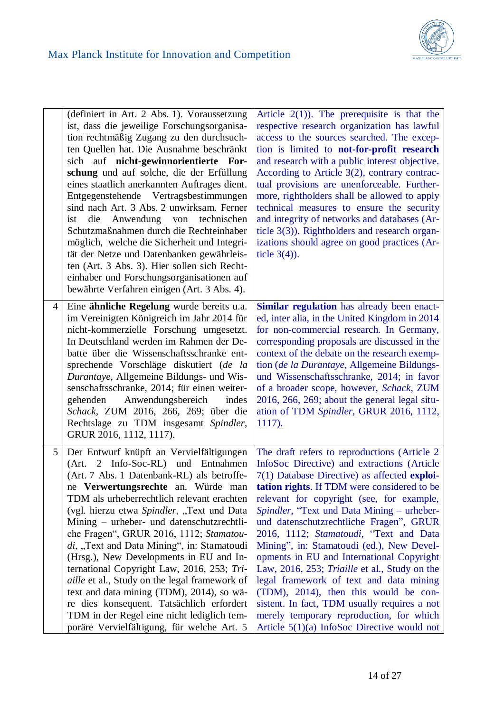

|   | (definiert in Art. 2 Abs. 1). Voraussetzung<br>ist, dass die jeweilige Forschungsorganisa-<br>tion rechtmäßig Zugang zu den durchsuch-<br>ten Quellen hat. Die Ausnahme beschränkt<br>sich auf nicht-gewinnorientierte For-<br>schung und auf solche, die der Erfüllung<br>eines staatlich anerkannten Auftrages dient.<br>Entgegenstehende Vertragsbestimmungen<br>sind nach Art. 3 Abs. 2 unwirksam. Ferner<br>Anwendung von technischen<br>die<br>ist<br>Schutzmaßnahmen durch die Rechteinhaber<br>möglich, welche die Sicherheit und Integri-<br>tät der Netze und Datenbanken gewährleis-<br>ten (Art. 3 Abs. 3). Hier sollen sich Recht-<br>einhaber und Forschungsorganisationen auf<br>bewährte Verfahren einigen (Art. 3 Abs. 4). | Article $2(1)$ ). The prerequisite is that the<br>respective research organization has lawful<br>access to the sources searched. The excep-<br>tion is limited to not-for-profit research<br>and research with a public interest objective.<br>According to Article 3(2), contrary contrac-<br>tual provisions are unenforceable. Further-<br>more, rightholders shall be allowed to apply<br>technical measures to ensure the security<br>and integrity of networks and databases (Ar-<br>ticle $3(3)$ ). Rightholders and research organ-<br>izations should agree on good practices (Ar-<br>ticle $3(4)$ ).                                                                                                                                            |
|---|---------------------------------------------------------------------------------------------------------------------------------------------------------------------------------------------------------------------------------------------------------------------------------------------------------------------------------------------------------------------------------------------------------------------------------------------------------------------------------------------------------------------------------------------------------------------------------------------------------------------------------------------------------------------------------------------------------------------------------------------|-----------------------------------------------------------------------------------------------------------------------------------------------------------------------------------------------------------------------------------------------------------------------------------------------------------------------------------------------------------------------------------------------------------------------------------------------------------------------------------------------------------------------------------------------------------------------------------------------------------------------------------------------------------------------------------------------------------------------------------------------------------|
| 4 | Eine ähnliche Regelung wurde bereits u.a.<br>im Vereinigten Königreich im Jahr 2014 für<br>nicht-kommerzielle Forschung umgesetzt.<br>In Deutschland werden im Rahmen der De-<br>batte über die Wissenschaftsschranke ent-<br>sprechende Vorschläge diskutiert (de la<br>Durantaye, Allgemeine Bildungs- und Wis-<br>senschaftsschranke, 2014; für einen weiter-<br>Anwendungsbereich<br>gehenden<br>indes<br>Schack, ZUM 2016, 266, 269; über die<br>Rechtslage zu TDM insgesamt Spindler,<br>GRUR 2016, 1112, 1117).                                                                                                                                                                                                                      | Similar regulation has already been enact-<br>ed, inter alia, in the United Kingdom in 2014<br>for non-commercial research. In Germany,<br>corresponding proposals are discussed in the<br>context of the debate on the research exemp-<br>tion (de la Durantaye, Allgemeine Bildungs-<br>und Wissenschaftsschranke, 2014; in favor<br>of a broader scope, however, Schack, ZUM<br>2016, 266, 269; about the general legal situ-<br>ation of TDM Spindler, GRUR 2016, 1112,<br>1117).                                                                                                                                                                                                                                                                     |
|   | 5   Der Entwurf knüpft an Vervielfältigungen<br>(Art. 2 Info-Soc-RL) und Entnahmen<br>(Art. 7 Abs. 1 Datenbank-RL) als betroffe-<br>ne Verwertungsrechte an. Würde man<br>TDM als urheberrechtlich relevant erachten<br>(vgl. hierzu etwa Spindler, "Text und Data<br>Mining – urheber- und datenschutzrechtli-<br>che Fragen", GRUR 2016, 1112; Stamatou-<br>di, "Text and Data Mining", in: Stamatoudi<br>(Hrsg.), New Developments in EU and In-<br>ternational Copyright Law, 2016, 253; Tri-<br>aille et al., Study on the legal framework of<br>text and data mining (TDM), 2014), so wä-<br>re dies konsequent. Tatsächlich erfordert<br>TDM in der Regel eine nicht lediglich tem-<br>poräre Vervielfältigung, für welche Art. 5    | The draft refers to reproductions (Article 2)<br>InfoSoc Directive) and extractions (Article<br>$7(1)$ Database Directive) as affected exploi-<br>tation rights. If TDM were considered to be<br>relevant for copyright (see, for example,<br>Spindler, "Text und Data Mining - urheber-<br>und datenschutzrechtliche Fragen", GRUR<br>2016, 1112; Stamatoudi, "Text and Data<br>Mining", in: Stamatoudi (ed.), New Devel-<br>opments in EU and International Copyright<br>Law, 2016, 253; Triaille et al., Study on the<br>legal framework of text and data mining<br>(TDM), 2014), then this would be con-<br>sistent. In fact, TDM usually requires a not<br>merely temporary reproduction, for which<br>Article $5(1)(a)$ InfoSoc Directive would not |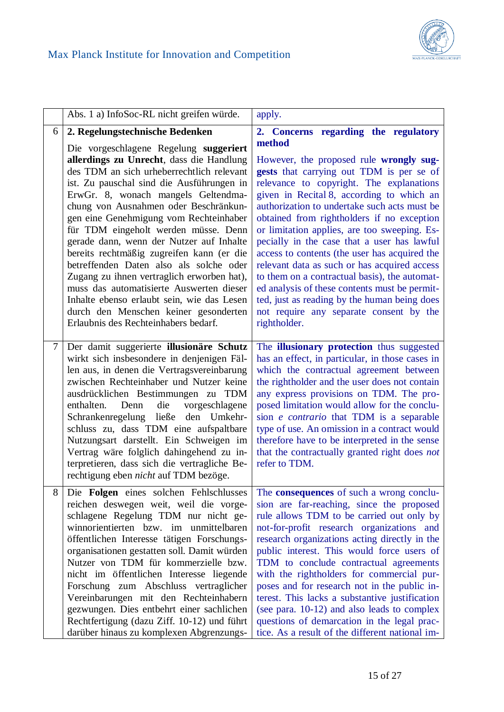

|   | Abs. 1 a) InfoSoc-RL nicht greifen würde.                                                                                                                                                                                                                                                                                                                                                                                                                                                                                                                                                                                                                                                                   | apply.                                                                                                                                                                                                                                                                                                                                                                                                                                                                                                                                                                                                                                                                                            |
|---|-------------------------------------------------------------------------------------------------------------------------------------------------------------------------------------------------------------------------------------------------------------------------------------------------------------------------------------------------------------------------------------------------------------------------------------------------------------------------------------------------------------------------------------------------------------------------------------------------------------------------------------------------------------------------------------------------------------|---------------------------------------------------------------------------------------------------------------------------------------------------------------------------------------------------------------------------------------------------------------------------------------------------------------------------------------------------------------------------------------------------------------------------------------------------------------------------------------------------------------------------------------------------------------------------------------------------------------------------------------------------------------------------------------------------|
| 6 | 2. Regelungstechnische Bedenken                                                                                                                                                                                                                                                                                                                                                                                                                                                                                                                                                                                                                                                                             | 2. Concerns regarding the regulatory                                                                                                                                                                                                                                                                                                                                                                                                                                                                                                                                                                                                                                                              |
|   | Die vorgeschlagene Regelung suggeriert<br>allerdings zu Unrecht, dass die Handlung<br>des TDM an sich urheberrechtlich relevant<br>ist. Zu pauschal sind die Ausführungen in<br>ErwGr. 8, wonach mangels Geltendma-<br>chung von Ausnahmen oder Beschränkun-<br>gen eine Genehmigung vom Rechteinhaber<br>für TDM eingeholt werden müsse. Denn<br>gerade dann, wenn der Nutzer auf Inhalte<br>bereits rechtmäßig zugreifen kann (er die<br>betreffenden Daten also als solche oder<br>Zugang zu ihnen vertraglich erworben hat),<br>muss das automatisierte Auswerten dieser<br>Inhalte ebenso erlaubt sein, wie das Lesen<br>durch den Menschen keiner gesonderten<br>Erlaubnis des Rechteinhabers bedarf. | method<br>However, the proposed rule wrongly sug-<br>gests that carrying out TDM is per se of<br>relevance to copyright. The explanations<br>given in Recital 8, according to which an<br>authorization to undertake such acts must be<br>obtained from rightholders if no exception<br>or limitation applies, are too sweeping. Es-<br>pecially in the case that a user has lawful<br>access to contents (the user has acquired the<br>relevant data as such or has acquired access<br>to them on a contractual basis), the automat-<br>ed analysis of these contents must be permit-<br>ted, just as reading by the human being does<br>not require any separate consent by the<br>rightholder. |
| 7 | Der damit suggerierte illusionäre Schutz<br>wirkt sich insbesondere in denjenigen Fäl-<br>len aus, in denen die Vertragsvereinbarung<br>zwischen Rechteinhaber und Nutzer keine<br>ausdrücklichen Bestimmungen zu TDM<br>enthalten.<br>die<br>vorgeschlagene<br>Denn<br>Schrankenregelung ließe den Umkehr-<br>schluss zu, dass TDM eine aufspaltbare<br>Nutzungsart darstellt. Ein Schweigen im<br>Vertrag wäre folglich dahingehend zu in-<br>terpretieren, dass sich die vertragliche Be-<br>rechtigung eben nicht auf TDM bezöge.                                                                                                                                                                       | The <b>illusionary protection</b> thus suggested<br>has an effect, in particular, in those cases in<br>which the contractual agreement between<br>the rightholder and the user does not contain<br>any express provisions on TDM. The pro-<br>posed limitation would allow for the conclu-<br>sion <i>e contrario</i> that TDM is a separable<br>type of use. An omission in a contract would<br>therefore have to be interpreted in the sense<br>that the contractually granted right does not<br>refer to TDM.                                                                                                                                                                                  |
| 8 | Die Folgen eines solchen Fehlschlusses<br>reichen deswegen weit, weil die vorge-<br>schlagene Regelung TDM nur nicht ge-<br>winnorientierten bzw. im unmittelbaren<br>öffentlichen Interesse tätigen Forschungs-<br>organisationen gestatten soll. Damit würden<br>Nutzer von TDM für kommerzielle bzw.<br>nicht im öffentlichen Interesse liegende<br>Forschung zum Abschluss vertraglicher<br>Vereinbarungen mit den Rechteinhabern<br>gezwungen. Dies entbehrt einer sachlichen<br>Rechtfertigung (dazu Ziff. 10-12) und führt<br>darüber hinaus zu komplexen Abgrenzungs-                                                                                                                               | The <b>consequences</b> of such a wrong conclu-<br>sion are far-reaching, since the proposed<br>rule allows TDM to be carried out only by<br>not-for-profit research organizations and<br>research organizations acting directly in the<br>public interest. This would force users of<br>TDM to conclude contractual agreements<br>with the rightholders for commercial pur-<br>poses and for research not in the public in-<br>terest. This lacks a substantive justification<br>(see para. 10-12) and also leads to complex<br>questions of demarcation in the legal prac-<br>tice. As a result of the different national im-                                                                   |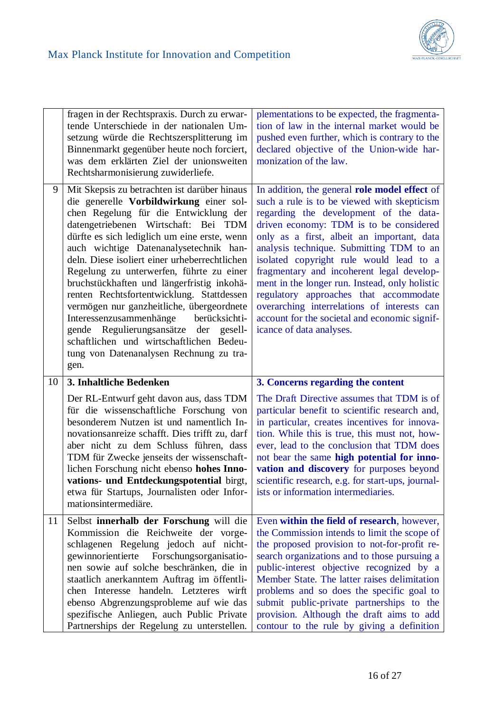

|    | fragen in der Rechtspraxis. Durch zu erwar-<br>tende Unterschiede in der nationalen Um-<br>setzung würde die Rechtszersplitterung im<br>Binnenmarkt gegenüber heute noch forciert,<br>was dem erklärten Ziel der unionsweiten<br>Rechtsharmonisierung zuwiderliefe.                                                                                                                                                                                                                                                                                                                                                                                                                         | plementations to be expected, the fragmenta-<br>tion of law in the internal market would be<br>pushed even further, which is contrary to the<br>declared objective of the Union-wide har-<br>monization of the law.                                                                                                                                                                                                                                                                                                                                                                         |
|----|---------------------------------------------------------------------------------------------------------------------------------------------------------------------------------------------------------------------------------------------------------------------------------------------------------------------------------------------------------------------------------------------------------------------------------------------------------------------------------------------------------------------------------------------------------------------------------------------------------------------------------------------------------------------------------------------|---------------------------------------------------------------------------------------------------------------------------------------------------------------------------------------------------------------------------------------------------------------------------------------------------------------------------------------------------------------------------------------------------------------------------------------------------------------------------------------------------------------------------------------------------------------------------------------------|
| 9  | Mit Skepsis zu betrachten ist darüber hinaus<br>die generelle Vorbildwirkung einer sol-<br>chen Regelung für die Entwicklung der<br>datengetriebenen Wirtschaft: Bei TDM<br>dürfte es sich lediglich um eine erste, wenn<br>auch wichtige Datenanalysetechnik han-<br>deln. Diese isoliert einer urheberrechtlichen<br>Regelung zu unterwerfen, führte zu einer<br>bruchstückhaften und längerfristig inkohä-<br>renten Rechtsfortentwicklung. Stattdessen<br>vermögen nur ganzheitliche, übergeordnete<br>Interessenzusammenhänge<br>berücksichti-<br>gende Regulierungsansätze der gesell-<br>schaftlichen und wirtschaftlichen Bedeu-<br>tung von Datenanalysen Rechnung zu tra-<br>gen. | In addition, the general role model effect of<br>such a rule is to be viewed with skepticism<br>regarding the development of the data-<br>driven economy: TDM is to be considered<br>only as a first, albeit an important, data<br>analysis technique. Submitting TDM to an<br>isolated copyright rule would lead to a<br>fragmentary and incoherent legal develop-<br>ment in the longer run. Instead, only holistic<br>regulatory approaches that accommodate<br>overarching interrelations of interests can<br>account for the societal and economic signif-<br>icance of data analyses. |
|    |                                                                                                                                                                                                                                                                                                                                                                                                                                                                                                                                                                                                                                                                                             |                                                                                                                                                                                                                                                                                                                                                                                                                                                                                                                                                                                             |
| 10 | 3. Inhaltliche Bedenken                                                                                                                                                                                                                                                                                                                                                                                                                                                                                                                                                                                                                                                                     | 3. Concerns regarding the content                                                                                                                                                                                                                                                                                                                                                                                                                                                                                                                                                           |
|    | Der RL-Entwurf geht davon aus, dass TDM<br>für die wissenschaftliche Forschung von<br>besonderem Nutzen ist und namentlich In-<br>novationsanreize schafft. Dies trifft zu, darf<br>aber nicht zu dem Schluss führen, dass<br>TDM für Zwecke jenseits der wissenschaft-<br>lichen Forschung nicht ebenso hohes Inno-<br>vations- und Entdeckungspotential birgt,<br>etwa für Startups, Journalisten oder Infor-<br>mationsintermediäre.<br>Selbst innerhalb der Forschung will die                                                                                                                                                                                                          | The Draft Directive assumes that TDM is of<br>particular benefit to scientific research and,<br>in particular, creates incentives for innova-<br>tion. While this is true, this must not, how-<br>ever, lead to the conclusion that TDM does<br>not bear the same high potential for inno-<br>vation and discovery for purposes beyond<br>scientific research, e.g. for start-ups, journal-<br>ists or information intermediaries.<br>Even within the field of research, however,                                                                                                           |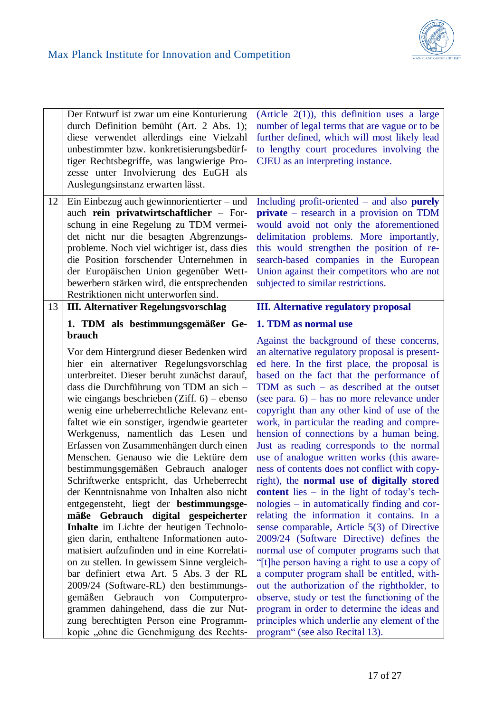

|    | Der Entwurf ist zwar um eine Konturierung                                             | (Article $2(1)$ ), this definition uses a large                                                         |
|----|---------------------------------------------------------------------------------------|---------------------------------------------------------------------------------------------------------|
|    | durch Definition bemüht (Art. 2 Abs. 1);                                              | number of legal terms that are vague or to be                                                           |
|    | diese verwendet allerdings eine Vielzahl                                              | further defined, which will most likely lead                                                            |
|    | unbestimmter bzw. konkretisierungsbedürf-                                             | to lengthy court procedures involving the                                                               |
|    | tiger Rechtsbegriffe, was langwierige Pro-                                            | CJEU as an interpreting instance.                                                                       |
|    | zesse unter Involvierung des EuGH als                                                 |                                                                                                         |
|    | Auslegungsinstanz erwarten lässt.                                                     |                                                                                                         |
|    |                                                                                       |                                                                                                         |
| 12 | Ein Einbezug auch gewinnorientierter - und<br>auch rein privatwirtschaftlicher - For- | Including profit-oriented $-$ and also <b>purely</b><br><b>private</b> – research in a provision on TDM |
|    | schung in eine Regelung zu TDM vermei-                                                | would avoid not only the aforementioned                                                                 |
|    | det nicht nur die besagten Abgrenzungs-                                               | delimitation problems. More importantly,                                                                |
|    | probleme. Noch viel wichtiger ist, dass dies                                          | this would strengthen the position of re-                                                               |
|    | die Position forschender Unternehmen in                                               | search-based companies in the European                                                                  |
|    | der Europäischen Union gegenüber Wett-                                                | Union against their competitors who are not                                                             |
|    | bewerbern stärken wird, die entsprechenden                                            | subjected to similar restrictions.                                                                      |
|    | Restriktionen nicht unterworfen sind.                                                 |                                                                                                         |
| 13 | <b>III. Alternativer Regelungsvorschlag</b>                                           | <b>III. Alternative regulatory proposal</b>                                                             |
|    |                                                                                       |                                                                                                         |
|    | 1. TDM als bestimmungsgemäßer Ge-                                                     | 1. TDM as normal use                                                                                    |
|    | <b>brauch</b>                                                                         | Against the background of these concerns,                                                               |
|    | Vor dem Hintergrund dieser Bedenken wird                                              | an alternative regulatory proposal is present-                                                          |
|    | hier ein alternativer Regelungsvorschlag                                              | ed here. In the first place, the proposal is                                                            |
|    | unterbreitet. Dieser beruht zunächst darauf,                                          | based on the fact that the performance of                                                               |
|    | dass die Durchführung von TDM an sich -                                               | TDM as $such - as described at the outset$                                                              |
|    | wie eingangs beschrieben (Ziff. $6$ ) – ebenso                                        | (see para. $6$ ) – has no more relevance under                                                          |
|    | wenig eine urheberrechtliche Relevanz ent-                                            | copyright than any other kind of use of the                                                             |
|    | faltet wie ein sonstiger, irgendwie gearteter                                         | work, in particular the reading and compre-                                                             |
|    | Werkgenuss, namentlich das Lesen und                                                  | hension of connections by a human being.                                                                |
|    | Erfassen von Zusammenhängen durch einen                                               | Just as reading corresponds to the normal                                                               |
|    | Menschen. Genauso wie die Lektüre dem                                                 | use of analogue written works (this aware-                                                              |
|    | bestimmungsgemäßen Gebrauch analoger                                                  | ness of contents does not conflict with copy-                                                           |
|    | Schriftwerke entspricht, das Urheberrecht                                             | right), the normal use of digitally stored                                                              |
|    | der Kenntnisnahme von Inhalten also nicht                                             | content lies $-$ in the light of today's tech-                                                          |
|    | entgegensteht, liegt der bestimmungsge-                                               | nologies – in automatically finding and cor-                                                            |
|    | mäße Gebrauch digital gespeicherter                                                   | relating the information it contains. In a                                                              |
|    | Inhalte im Lichte der heutigen Technolo-                                              | sense comparable, Article $5(3)$ of Directive                                                           |
|    | gien darin, enthaltene Informationen auto-                                            | 2009/24 (Software Directive) defines the                                                                |
|    | matisiert aufzufinden und in eine Korrelati-                                          | normal use of computer programs such that                                                               |
|    | on zu stellen. In gewissem Sinne vergleich-                                           | "[t]he person having a right to use a copy of                                                           |
|    | bar definiert etwa Art. 5 Abs. 3 der RL                                               | a computer program shall be entitled, with-                                                             |
|    | 2009/24 (Software-RL) den bestimmungs-                                                | out the authorization of the rightholder, to                                                            |
|    | gemäßen Gebrauch von Computerpro-                                                     | observe, study or test the functioning of the                                                           |
|    | grammen dahingehend, dass die zur Nut-                                                | program in order to determine the ideas and                                                             |
|    | zung berechtigten Person eine Programm-                                               | principles which underlie any element of the                                                            |
|    | kopie "ohne die Genehmigung des Rechts-                                               | program" (see also Recital 13).                                                                         |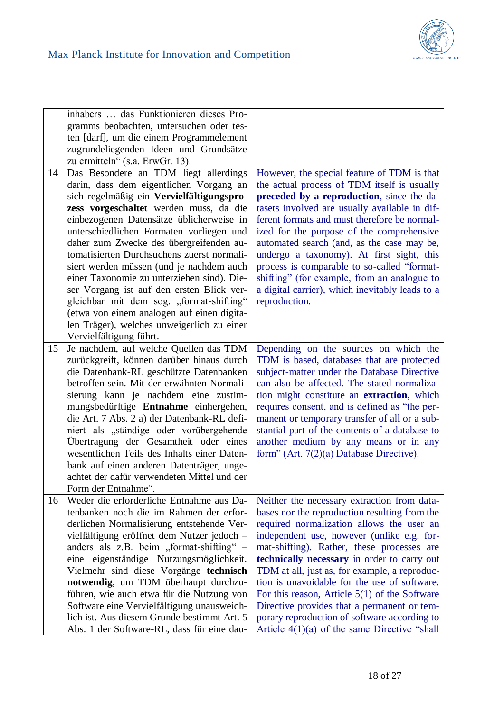|    | inhabers  das Funktionieren dieses Pro-     |                                                 |
|----|---------------------------------------------|-------------------------------------------------|
|    | gramms beobachten, untersuchen oder tes-    |                                                 |
|    | ten [darf], um die einem Programmelement    |                                                 |
|    | zugrundeliegenden Ideen und Grundsätze      |                                                 |
|    | zu ermitteln" (s.a. ErwGr. 13).             |                                                 |
| 14 | Das Besondere an TDM liegt allerdings       | However, the special feature of TDM is that     |
|    | darin, dass dem eigentlichen Vorgang an     | the actual process of TDM itself is usually     |
|    | sich regelmäßig ein Vervielfältigungspro-   | preceded by a reproduction, since the da-       |
|    | zess vorgeschaltet werden muss, da die      | tasets involved are usually available in dif-   |
|    | einbezogenen Datensätze üblicherweise in    | ferent formats and must therefore be normal-    |
|    | unterschiedlichen Formaten vorliegen und    | ized for the purpose of the comprehensive       |
|    | daher zum Zwecke des übergreifenden au-     | automated search (and, as the case may be,      |
|    | tomatisierten Durchsuchens zuerst normali-  | undergo a taxonomy). At first sight, this       |
|    | siert werden müssen (und je nachdem auch    | process is comparable to so-called "format-     |
|    | einer Taxonomie zu unterziehen sind). Die-  | shifting" (for example, from an analogue to     |
|    | ser Vorgang ist auf den ersten Blick ver-   | a digital carrier), which inevitably leads to a |
|    |                                             | reproduction.                                   |
|    | gleichbar mit dem sog. "format-shifting"    |                                                 |
|    | (etwa von einem analogen auf einen digita-  |                                                 |
|    | len Träger), welches unweigerlich zu einer  |                                                 |
|    | Vervielfältigung führt.                     |                                                 |
| 15 | Je nachdem, auf welche Quellen das TDM      | Depending on the sources on which the           |
|    | zurückgreift, können darüber hinaus durch   | TDM is based, databases that are protected      |
|    | die Datenbank-RL geschützte Datenbanken     | subject-matter under the Database Directive     |
|    | betroffen sein. Mit der erwähnten Normali-  | can also be affected. The stated normaliza-     |
|    | sierung kann je nachdem eine zustim-        | tion might constitute an extraction, which      |
|    | mungsbedürftige Entnahme einhergehen,       | requires consent, and is defined as "the per-   |
|    | die Art. 7 Abs. 2 a) der Datenbank-RL defi- | manent or temporary transfer of all or a sub-   |
|    | niert als "ständige oder vorübergehende     | stantial part of the contents of a database to  |
|    | Übertragung der Gesamtheit oder eines       | another medium by any means or in any           |
|    | wesentlichen Teils des Inhalts einer Daten- | form" (Art. 7(2)(a) Database Directive).        |
|    | bank auf einen anderen Datenträger, unge-   |                                                 |
|    | achtet der dafür verwendeten Mittel und der |                                                 |
|    | Form der Entnahme".                         |                                                 |
| 16 | Weder die erforderliche Entnahme aus Da-    | Neither the necessary extraction from data-     |
|    | tenbanken noch die im Rahmen der erfor-     | bases nor the reproduction resulting from the   |
|    | derlichen Normalisierung entstehende Ver-   | required normalization allows the user an       |
|    | vielfältigung eröffnet dem Nutzer jedoch -  | independent use, however (unlike e.g. for-      |
|    |                                             |                                                 |
|    | anders als z.B. beim "format-shifting" -    | mat-shifting). Rather, these processes are      |
|    | eine eigenständige Nutzungsmöglichkeit.     | technically necessary in order to carry out     |
|    | Vielmehr sind diese Vorgänge technisch      | TDM at all, just as, for example, a reproduc-   |
|    | notwendig, um TDM überhaupt durchzu-        | tion is unavoidable for the use of software.    |
|    | führen, wie auch etwa für die Nutzung von   | For this reason, Article $5(1)$ of the Software |
|    | Software eine Vervielfältigung unausweich-  | Directive provides that a permanent or tem-     |
|    | lich ist. Aus diesem Grunde bestimmt Art. 5 | porary reproduction of software according to    |
|    | Abs. 1 der Software-RL, dass für eine dau-  | Article $4(1)(a)$ of the same Directive "shall" |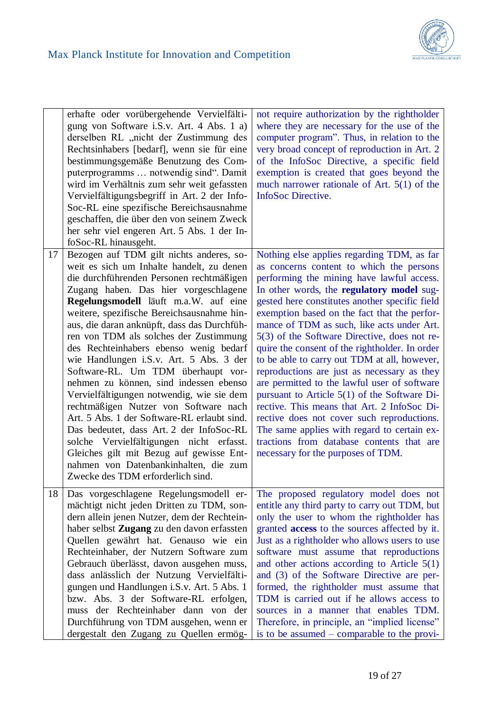

|    | erhafte oder vorübergehende Vervielfälti-<br>gung von Software i.S.v. Art. 4 Abs. 1 a)<br>derselben RL "nicht der Zustimmung des<br>Rechtsinhabers [bedarf], wenn sie für eine<br>bestimmungsgemäße Benutzung des Com-<br>puterprogramms  notwendig sind". Damit<br>wird im Verhältnis zum sehr weit gefassten<br>Vervielfältigungsbegriff in Art. 2 der Info-<br>Soc-RL eine spezifische Bereichsausnahme<br>geschaffen, die über den von seinem Zweck<br>her sehr viel engeren Art. 5 Abs. 1 der In-<br>foSoc-RL hinausgeht.                                                                                                                                                                                                                                                                                                                                                         | not require authorization by the rightholder<br>where they are necessary for the use of the<br>computer program". Thus, in relation to the<br>very broad concept of reproduction in Art. 2<br>of the InfoSoc Directive, a specific field<br>exemption is created that goes beyond the<br>much narrower rationale of Art. $5(1)$ of the<br>InfoSoc Directive.                                                                                                                                                                                                                                                                                                                                                                                                                                                                                                       |
|----|----------------------------------------------------------------------------------------------------------------------------------------------------------------------------------------------------------------------------------------------------------------------------------------------------------------------------------------------------------------------------------------------------------------------------------------------------------------------------------------------------------------------------------------------------------------------------------------------------------------------------------------------------------------------------------------------------------------------------------------------------------------------------------------------------------------------------------------------------------------------------------------|--------------------------------------------------------------------------------------------------------------------------------------------------------------------------------------------------------------------------------------------------------------------------------------------------------------------------------------------------------------------------------------------------------------------------------------------------------------------------------------------------------------------------------------------------------------------------------------------------------------------------------------------------------------------------------------------------------------------------------------------------------------------------------------------------------------------------------------------------------------------|
| 17 | Bezogen auf TDM gilt nichts anderes, so-<br>weit es sich um Inhalte handelt, zu denen<br>die durchführenden Personen rechtmäßigen<br>Zugang haben. Das hier vorgeschlagene<br>Regelungsmodell läuft m.a.W. auf eine<br>weitere, spezifische Bereichsausnahme hin-<br>aus, die daran anknüpft, dass das Durchfüh-<br>ren von TDM als solches der Zustimmung<br>des Rechteinhabers ebenso wenig bedarf<br>wie Handlungen i.S.v. Art. 5 Abs. 3 der<br>Software-RL. Um TDM überhaupt vor-<br>nehmen zu können, sind indessen ebenso<br>Vervielfältigungen notwendig, wie sie dem<br>rechtmäßigen Nutzer von Software nach<br>Art. 5 Abs. 1 der Software-RL erlaubt sind.<br>Das bedeutet, dass Art. 2 der InfoSoc-RL<br>solche Vervielfältigungen nicht erfasst.<br>Gleiches gilt mit Bezug auf gewisse Ent-<br>nahmen von Datenbankinhalten, die zum<br>Zwecke des TDM erforderlich sind. | Nothing else applies regarding TDM, as far<br>as concerns content to which the persons<br>performing the mining have lawful access.<br>In other words, the regulatory model sug-<br>gested here constitutes another specific field<br>exemption based on the fact that the perfor-<br>mance of TDM as such, like acts under Art.<br>5(3) of the Software Directive, does not re-<br>quire the consent of the rightholder. In order<br>to be able to carry out TDM at all, however,<br>reproductions are just as necessary as they<br>are permitted to the lawful user of software<br>pursuant to Article $5(1)$ of the Software Di-<br>rective. This means that Art. 2 InfoSoc Di-<br>rective does not cover such reproductions.<br>The same applies with regard to certain ex-<br>tractions from database contents that are<br>necessary for the purposes of TDM. |
| 18 | Das vorgeschlagene Regelungsmodell er-<br>mächtigt nicht jeden Dritten zu TDM, son-<br>dern allein jenen Nutzer, dem der Rechtein-<br>haber selbst Zugang zu den davon erfassten<br>Quellen gewährt hat. Genauso wie ein<br>Rechteinhaber, der Nutzern Software zum<br>Gebrauch überlässt, davon ausgehen muss,<br>dass anlässlich der Nutzung Vervielfälti-<br>gungen und Handlungen i.S.v. Art. 5 Abs. 1<br>bzw. Abs. 3 der Software-RL erfolgen,<br>muss der Rechteinhaber dann von der<br>Durchführung von TDM ausgehen, wenn er<br>dergestalt den Zugang zu Quellen ermög-                                                                                                                                                                                                                                                                                                        | The proposed regulatory model does not<br>entitle any third party to carry out TDM, but<br>only the user to whom the rightholder has<br>granted <b>access</b> to the sources affected by it.<br>Just as a rightholder who allows users to use<br>software must assume that reproductions<br>and other actions according to Article $5(1)$<br>and (3) of the Software Directive are per-<br>formed, the rightholder must assume that<br>TDM is carried out if he allows access to<br>sources in a manner that enables TDM.<br>Therefore, in principle, an "implied license"<br>is to be assumed – comparable to the provi-                                                                                                                                                                                                                                          |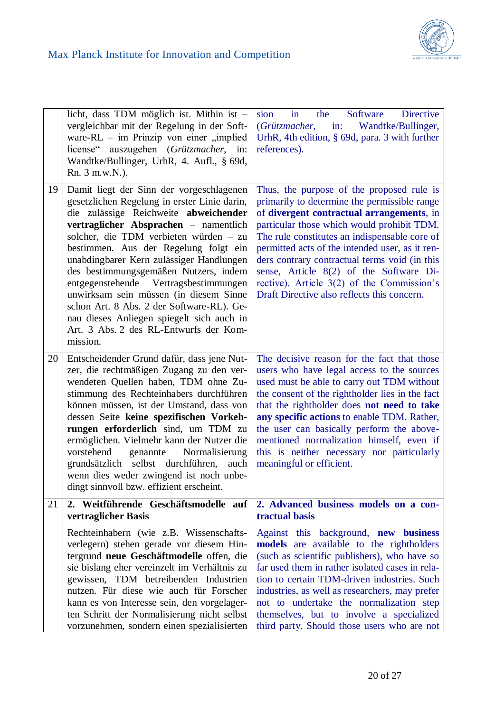

|    | licht, dass TDM möglich ist. Mithin ist -<br>vergleichbar mit der Regelung in der Soft-<br>ware-RL $-$ im Prinzip von einer "implied<br>license" auszugehen (Grützmacher, in:<br>Wandtke/Bullinger, UrhR, 4. Aufl., § 69d,<br>Rn. 3 m.w.N.).                                                                                                                                                                                                                                                                                                                                          | sion<br>the<br>Software<br><b>Directive</b><br>in<br>(Grützmacher, in: Wandtke/Bullinger,<br>UrhR, 4th edition, § 69d, para. 3 with further<br>references).                                                                                                                                                                                                                                                                                                                         |
|----|---------------------------------------------------------------------------------------------------------------------------------------------------------------------------------------------------------------------------------------------------------------------------------------------------------------------------------------------------------------------------------------------------------------------------------------------------------------------------------------------------------------------------------------------------------------------------------------|-------------------------------------------------------------------------------------------------------------------------------------------------------------------------------------------------------------------------------------------------------------------------------------------------------------------------------------------------------------------------------------------------------------------------------------------------------------------------------------|
| 19 | Damit liegt der Sinn der vorgeschlagenen<br>gesetzlichen Regelung in erster Linie darin,<br>die zulässige Reichweite abweichender<br>vertraglicher Absprachen - namentlich<br>solcher, die TDM verbieten würden - zu<br>bestimmen. Aus der Regelung folgt ein<br>unabdingbarer Kern zulässiger Handlungen<br>des bestimmungsgemäßen Nutzers, indem<br>entgegenstehende Vertragsbestimmungen<br>unwirksam sein müssen (in diesem Sinne<br>schon Art. 8 Abs. 2 der Software-RL). Ge-<br>nau dieses Anliegen spiegelt sich auch in<br>Art. 3 Abs. 2 des RL-Entwurfs der Kom-<br>mission. | Thus, the purpose of the proposed rule is<br>primarily to determine the permissible range<br>of divergent contractual arrangements, in<br>particular those which would prohibit TDM.<br>The rule constitutes an indispensable core of<br>permitted acts of the intended user, as it ren-<br>ders contrary contractual terms void (in this<br>sense, Article 8(2) of the Software Di-<br>rective). Article $3(2)$ of the Commission's<br>Draft Directive also reflects this concern. |
| 20 | Entscheidender Grund dafür, dass jene Nut-<br>zer, die rechtmäßigen Zugang zu den ver-<br>wendeten Quellen haben, TDM ohne Zu-<br>stimmung des Rechteinhabers durchführen<br>können müssen, ist der Umstand, dass von<br>dessen Seite keine spezifischen Vorkeh-<br>rungen erforderlich sind, um TDM zu<br>ermöglichen. Vielmehr kann der Nutzer die<br>vorstehend<br>genannte Normalisierung<br>grundsätzlich selbst durchführen,<br>auch<br>wenn dies weder zwingend ist noch unbe-<br>dingt sinnvoll bzw. effizient erscheint.                                                     | The decisive reason for the fact that those<br>users who have legal access to the sources<br>used must be able to carry out TDM without<br>the consent of the rightholder lies in the fact<br>that the rightholder does not need to take<br>any specific actions to enable TDM. Rather,<br>the user can basically perform the above-<br>mentioned normalization himself, even if<br>this is neither necessary nor particularly<br>meaningful or efficient.                          |
| 21 | 2. Weitführende Geschäftsmodelle auf<br>vertraglicher Basis                                                                                                                                                                                                                                                                                                                                                                                                                                                                                                                           | 2. Advanced business models on a con-<br>tractual basis                                                                                                                                                                                                                                                                                                                                                                                                                             |
|    | Rechteinhabern (wie z.B. Wissenschafts-<br>verlegern) stehen gerade vor diesem Hin-<br>tergrund neue Geschäftmodelle offen, die<br>sie bislang eher vereinzelt im Verhältnis zu<br>gewissen, TDM betreibenden Industrien<br>nutzen. Für diese wie auch für Forscher<br>kann es von Interesse sein, den vorgelager-<br>ten Schritt der Normalisierung nicht selbst<br>vorzunehmen, sondern einen spezialisierten                                                                                                                                                                       | Against this background, new business<br>models are available to the rightholders<br>(such as scientific publishers), who have so<br>far used them in rather isolated cases in rela-<br>tion to certain TDM-driven industries. Such<br>industries, as well as researchers, may prefer<br>not to undertake the normalization step<br>themselves, but to involve a specialized<br>third party. Should those users who are not                                                         |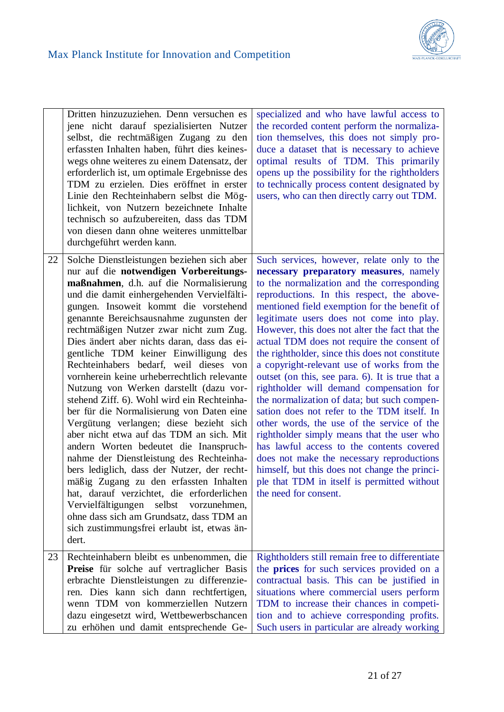

|    | Dritten hinzuzuziehen. Denn versuchen es<br>jene nicht darauf spezialisierten Nutzer<br>selbst, die rechtmäßigen Zugang zu den<br>erfassten Inhalten haben, führt dies keines-<br>wegs ohne weiteres zu einem Datensatz, der<br>erforderlich ist, um optimale Ergebnisse des<br>TDM zu erzielen. Dies eröffnet in erster<br>Linie den Rechteinhabern selbst die Mög-<br>lichkeit, von Nutzern bezeichnete Inhalte<br>technisch so aufzubereiten, dass das TDM<br>von diesen dann ohne weiteres unmittelbar<br>durchgeführt werden kann.                                                                                                                                                                                                                                                                                                                                                                                                                                                                          | specialized and who have lawful access to<br>the recorded content perform the normaliza-<br>tion themselves, this does not simply pro-<br>duce a dataset that is necessary to achieve<br>optimal results of TDM. This primarily<br>opens up the possibility for the rightholders<br>to technically process content designated by<br>users, who can then directly carry out TDM.                                                                                                                                                                                                                                                                                                                                                                                                                                                                                                                     |
|----|------------------------------------------------------------------------------------------------------------------------------------------------------------------------------------------------------------------------------------------------------------------------------------------------------------------------------------------------------------------------------------------------------------------------------------------------------------------------------------------------------------------------------------------------------------------------------------------------------------------------------------------------------------------------------------------------------------------------------------------------------------------------------------------------------------------------------------------------------------------------------------------------------------------------------------------------------------------------------------------------------------------|-----------------------------------------------------------------------------------------------------------------------------------------------------------------------------------------------------------------------------------------------------------------------------------------------------------------------------------------------------------------------------------------------------------------------------------------------------------------------------------------------------------------------------------------------------------------------------------------------------------------------------------------------------------------------------------------------------------------------------------------------------------------------------------------------------------------------------------------------------------------------------------------------------|
| 22 | Solche Dienstleistungen beziehen sich aber<br>nur auf die notwendigen Vorbereitungs-                                                                                                                                                                                                                                                                                                                                                                                                                                                                                                                                                                                                                                                                                                                                                                                                                                                                                                                             | Such services, however, relate only to the<br>necessary preparatory measures, namely                                                                                                                                                                                                                                                                                                                                                                                                                                                                                                                                                                                                                                                                                                                                                                                                                |
|    | maßnahmen, d.h. auf die Normalisierung<br>und die damit einhergehenden Vervielfälti-<br>gungen. Insoweit kommt die vorstehend<br>genannte Bereichsausnahme zugunsten der<br>rechtmäßigen Nutzer zwar nicht zum Zug.<br>Dies ändert aber nichts daran, dass das ei-<br>gentliche TDM keiner Einwilligung des<br>Rechteinhabers bedarf, weil dieses von<br>vornherein keine urheberrechtlich relevante<br>Nutzung von Werken darstellt (dazu vor-<br>stehend Ziff. 6). Wohl wird ein Rechteinha-<br>ber für die Normalisierung von Daten eine<br>Vergütung verlangen; diese bezieht sich<br>aber nicht etwa auf das TDM an sich. Mit<br>andern Worten bedeutet die Inanspruch-<br>nahme der Dienstleistung des Rechteinha-<br>bers lediglich, dass der Nutzer, der recht-<br>mäßig Zugang zu den erfassten Inhalten<br>hat, darauf verzichtet, die erforderlichen<br>Vervielfältigungen<br>selbst vorzunehmen,<br>ohne dass sich am Grundsatz, dass TDM an<br>sich zustimmungsfrei erlaubt ist, etwas än-<br>dert. | to the normalization and the corresponding<br>reproductions. In this respect, the above-<br>mentioned field exemption for the benefit of<br>legitimate users does not come into play.<br>However, this does not alter the fact that the<br>actual TDM does not require the consent of<br>the rightholder, since this does not constitute<br>a copyright-relevant use of works from the<br>outset (on this, see para. 6). It is true that a<br>rightholder will demand compensation for<br>the normalization of data; but such compen-<br>sation does not refer to the TDM itself. In<br>other words, the use of the service of the<br>rightholder simply means that the user who<br>has lawful access to the contents covered<br>does not make the necessary reproductions<br>himself, but this does not change the princi-<br>ple that TDM in itself is permitted without<br>the need for consent. |
| 23 | Rechteinhabern bleibt es unbenommen, die<br>Preise für solche auf vertraglicher Basis<br>erbrachte Dienstleistungen zu differenzie-<br>ren. Dies kann sich dann rechtfertigen,<br>wenn TDM von kommerziellen Nutzern<br>dazu eingesetzt wird, Wettbewerbschancen<br>zu erhöhen und damit entsprechende Ge-                                                                                                                                                                                                                                                                                                                                                                                                                                                                                                                                                                                                                                                                                                       | Rightholders still remain free to differentiate<br>the <b>prices</b> for such services provided on a<br>contractual basis. This can be justified in<br>situations where commercial users perform<br>TDM to increase their chances in competi-<br>tion and to achieve corresponding profits.<br>Such users in particular are already working                                                                                                                                                                                                                                                                                                                                                                                                                                                                                                                                                         |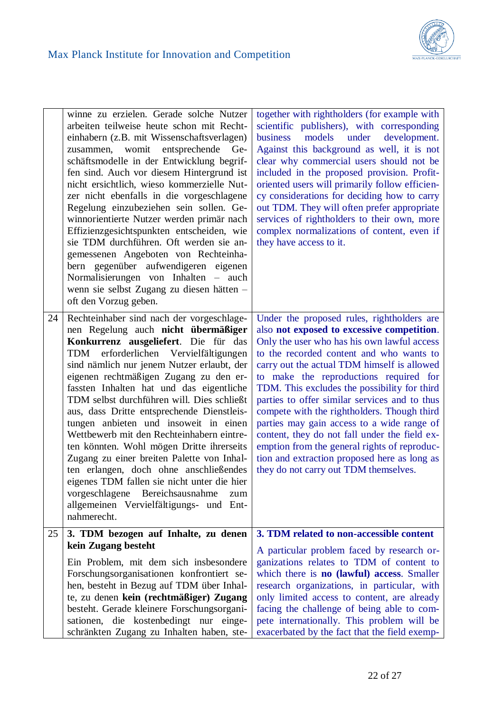

|    | winne zu erzielen. Gerade solche Nutzer<br>arbeiten teilweise heute schon mit Recht-<br>einhabern (z.B. mit Wissenschaftsverlagen)<br>zusammen, womit<br>entsprechende<br>Ge-<br>schäftsmodelle in der Entwicklung begrif-<br>fen sind. Auch vor diesem Hintergrund ist<br>nicht ersichtlich, wieso kommerzielle Nut-<br>zer nicht ebenfalls in die vorgeschlagene<br>Regelung einzubeziehen sein sollen. Ge-<br>winnorientierte Nutzer werden primär nach<br>Effizienzgesichtspunkten entscheiden, wie<br>sie TDM durchführen. Oft werden sie an-<br>gemessenen Angeboten von Rechteinha-<br>bern gegenüber aufwendigeren eigenen<br>Normalisierungen von Inhalten - auch<br>wenn sie selbst Zugang zu diesen hätten -<br>oft den Vorzug geben.                                | together with rightholders (for example with<br>scientific publishers), with corresponding<br>under<br>business<br>models<br>development.<br>Against this background as well, it is not<br>clear why commercial users should not be<br>included in the proposed provision. Profit-<br>oriented users will primarily follow efficien-<br>cy considerations for deciding how to carry<br>out TDM. They will often prefer appropriate<br>services of rightholders to their own, more<br>complex normalizations of content, even if<br>they have access to it.                                                                                                           |
|----|---------------------------------------------------------------------------------------------------------------------------------------------------------------------------------------------------------------------------------------------------------------------------------------------------------------------------------------------------------------------------------------------------------------------------------------------------------------------------------------------------------------------------------------------------------------------------------------------------------------------------------------------------------------------------------------------------------------------------------------------------------------------------------|----------------------------------------------------------------------------------------------------------------------------------------------------------------------------------------------------------------------------------------------------------------------------------------------------------------------------------------------------------------------------------------------------------------------------------------------------------------------------------------------------------------------------------------------------------------------------------------------------------------------------------------------------------------------|
| 24 | Rechteinhaber sind nach der vorgeschlage-<br>nen Regelung auch nicht übermäßiger<br>Konkurrenz ausgeliefert. Die für das<br>TDM erforderlichen Vervielfältigungen<br>sind nämlich nur jenem Nutzer erlaubt, der<br>eigenen rechtmäßigen Zugang zu den er-<br>fassten Inhalten hat und das eigentliche<br>TDM selbst durchführen will. Dies schließt<br>aus, dass Dritte entsprechende Dienstleis-<br>tungen anbieten und insoweit in einen<br>Wettbewerb mit den Rechteinhabern eintre-<br>ten könnten. Wohl mögen Dritte ihrerseits<br>Zugang zu einer breiten Palette von Inhal-<br>ten erlangen, doch ohne anschließendes<br>eigenes TDM fallen sie nicht unter die hier<br>vorgeschlagene Bereichsausnahme<br>zum<br>allgemeinen Vervielfältigungs- und Ent-<br>nahmerecht. | Under the proposed rules, rightholders are<br>also not exposed to excessive competition.<br>Only the user who has his own lawful access<br>to the recorded content and who wants to<br>carry out the actual TDM himself is allowed<br>to make the reproductions required for<br>TDM. This excludes the possibility for third<br>parties to offer similar services and to thus<br>compete with the rightholders. Though third<br>parties may gain access to a wide range of<br>content, they do not fall under the field ex-<br>emption from the general rights of reproduc-<br>tion and extraction proposed here as long as<br>they do not carry out TDM themselves. |
| 25 | 3. TDM bezogen auf Inhalte, zu denen                                                                                                                                                                                                                                                                                                                                                                                                                                                                                                                                                                                                                                                                                                                                            | 3. TDM related to non-accessible content                                                                                                                                                                                                                                                                                                                                                                                                                                                                                                                                                                                                                             |
|    | kein Zugang besteht<br>Ein Problem, mit dem sich insbesondere<br>Forschungsorganisationen konfrontiert se-<br>hen, besteht in Bezug auf TDM über Inhal-<br>te, zu denen kein (rechtmäßiger) Zugang<br>besteht. Gerade kleinere Forschungsorgani-<br>sationen, die kostenbedingt nur einge-<br>schränkten Zugang zu Inhalten haben, ste-                                                                                                                                                                                                                                                                                                                                                                                                                                         | A particular problem faced by research or-<br>ganizations relates to TDM of content to<br>which there is <b>no</b> (lawful) access. Smaller<br>research organizations, in particular, with<br>only limited access to content, are already<br>facing the challenge of being able to com-<br>pete internationally. This problem will be<br>exacerbated by the fact that the field exemp-                                                                                                                                                                                                                                                                               |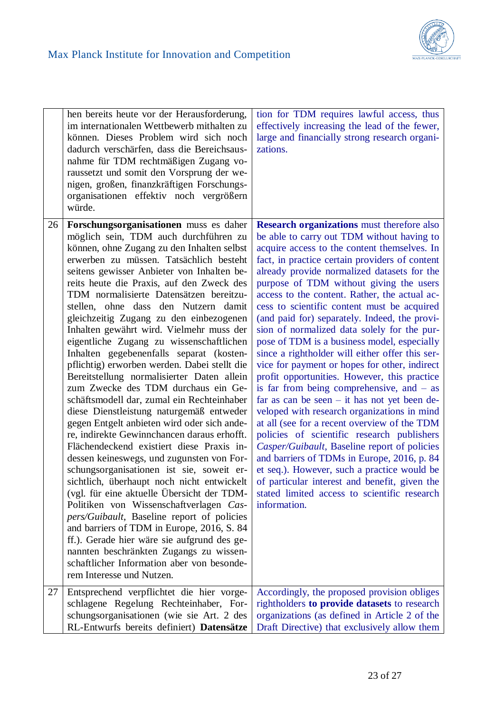

|    | hen bereits heute vor der Herausforderung,<br>im internationalen Wettbewerb mithalten zu<br>können. Dieses Problem wird sich noch<br>dadurch verschärfen, dass die Bereichsaus-<br>nahme für TDM rechtmäßigen Zugang vo-<br>raussetzt und somit den Vorsprung der we-<br>nigen, großen, finanzkräftigen Forschungs-<br>organisationen effektiv noch vergrößern<br>würde.                                                                                                                                                                                                                                                                                                                                                                                                                                                                                                                                                                                                                                                                                                                                                                                                                                                                                                                                                                                                                                          | tion for TDM requires lawful access, thus<br>effectively increasing the lead of the fewer,<br>large and financially strong research organi-<br>zations.                                                                                                                                                                                                                                                                                                                                                                                                                                                                                                                                                                                                                                                                                                                                                                                                                                                                                                                                                                                                                                                     |
|----|-------------------------------------------------------------------------------------------------------------------------------------------------------------------------------------------------------------------------------------------------------------------------------------------------------------------------------------------------------------------------------------------------------------------------------------------------------------------------------------------------------------------------------------------------------------------------------------------------------------------------------------------------------------------------------------------------------------------------------------------------------------------------------------------------------------------------------------------------------------------------------------------------------------------------------------------------------------------------------------------------------------------------------------------------------------------------------------------------------------------------------------------------------------------------------------------------------------------------------------------------------------------------------------------------------------------------------------------------------------------------------------------------------------------|-------------------------------------------------------------------------------------------------------------------------------------------------------------------------------------------------------------------------------------------------------------------------------------------------------------------------------------------------------------------------------------------------------------------------------------------------------------------------------------------------------------------------------------------------------------------------------------------------------------------------------------------------------------------------------------------------------------------------------------------------------------------------------------------------------------------------------------------------------------------------------------------------------------------------------------------------------------------------------------------------------------------------------------------------------------------------------------------------------------------------------------------------------------------------------------------------------------|
| 26 | Forschungsorganisationen muss es daher<br>möglich sein, TDM auch durchführen zu<br>können, ohne Zugang zu den Inhalten selbst<br>erwerben zu müssen. Tatsächlich besteht<br>seitens gewisser Anbieter von Inhalten be-<br>reits heute die Praxis, auf den Zweck des<br>TDM normalisierte Datensätzen bereitzu-<br>stellen, ohne dass den Nutzern damit<br>gleichzeitig Zugang zu den einbezogenen<br>Inhalten gewährt wird. Vielmehr muss der<br>eigentliche Zugang zu wissenschaftlichen<br>Inhalten gegebenenfalls separat (kosten-<br>pflichtig) erworben werden. Dabei stellt die<br>Bereitstellung normalisierter Daten allein<br>zum Zwecke des TDM durchaus ein Ge-<br>schäftsmodell dar, zumal ein Rechteinhaber<br>diese Dienstleistung naturgemäß entweder<br>gegen Entgelt anbieten wird oder sich ande-<br>re, indirekte Gewinnchancen daraus erhofft.<br>Flächendeckend existiert diese Praxis in-<br>dessen keineswegs, und zugunsten von For-<br>schungsorganisationen ist sie, soweit er-<br>sichtlich, überhaupt noch nicht entwickelt<br>(vgl. für eine aktuelle Übersicht der TDM-<br>Politiken von Wissenschaftverlagen Cas-<br>pers/Guibault, Baseline report of policies<br>and barriers of TDM in Europe, 2016, S. 84<br>ff.). Gerade hier wäre sie aufgrund des ge-<br>nannten beschränkten Zugangs zu wissen-<br>schaftlicher Information aber von besonde-<br>rem Interesse und Nutzen. | <b>Research organizations</b> must therefore also<br>be able to carry out TDM without having to<br>acquire access to the content themselves. In<br>fact, in practice certain providers of content<br>already provide normalized datasets for the<br>purpose of TDM without giving the users<br>access to the content. Rather, the actual ac-<br>cess to scientific content must be acquired<br>(and paid for) separately. Indeed, the provi-<br>sion of normalized data solely for the pur-<br>pose of TDM is a business model, especially<br>since a rightholder will either offer this ser-<br>vice for payment or hopes for other, indirect<br>profit opportunities. However, this practice<br>is far from being comprehensive, and $-$ as<br>far as can be seen $-$ it has not yet been de-<br>veloped with research organizations in mind<br>at all (see for a recent overview of the TDM<br>policies of scientific research publishers<br>Casper/Guibault, Baseline report of policies<br>and barriers of TDMs in Europe, 2016, p. 84<br>et seq.). However, such a practice would be<br>of particular interest and benefit, given the<br>stated limited access to scientific research<br>information. |
| 27 | Entsprechend verpflichtet die hier vorge-<br>schlagene Regelung Rechteinhaber, For-<br>schungsorganisationen (wie sie Art. 2 des<br>RL-Entwurfs bereits definiert) Datensätze                                                                                                                                                                                                                                                                                                                                                                                                                                                                                                                                                                                                                                                                                                                                                                                                                                                                                                                                                                                                                                                                                                                                                                                                                                     | Accordingly, the proposed provision obliges<br>rightholders to provide datasets to research<br>organizations (as defined in Article 2 of the<br>Draft Directive) that exclusively allow them                                                                                                                                                                                                                                                                                                                                                                                                                                                                                                                                                                                                                                                                                                                                                                                                                                                                                                                                                                                                                |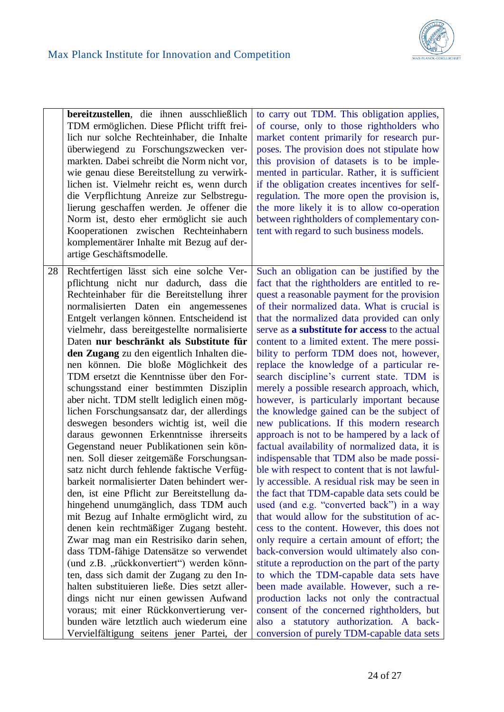

|    | bereitzustellen, die ihnen ausschließlich<br>TDM ermöglichen. Diese Pflicht trifft frei- | to carry out TDM. This obligation applies,<br>of course, only to those rightholders who |
|----|------------------------------------------------------------------------------------------|-----------------------------------------------------------------------------------------|
|    | lich nur solche Rechteinhaber, die Inhalte                                               | market content primarily for research pur-                                              |
|    | überwiegend zu Forschungszwecken ver-                                                    | poses. The provision does not stipulate how                                             |
|    | markten. Dabei schreibt die Norm nicht vor,                                              | this provision of datasets is to be imple-                                              |
|    | wie genau diese Bereitstellung zu verwirk-                                               | mented in particular. Rather, it is sufficient                                          |
|    | lichen ist. Vielmehr reicht es, wenn durch                                               | if the obligation creates incentives for self-                                          |
|    | die Verpflichtung Anreize zur Selbstregu-                                                | regulation. The more open the provision is,                                             |
|    |                                                                                          |                                                                                         |
|    | lierung geschaffen werden. Je offener die                                                | the more likely it is to allow co-operation                                             |
|    | Norm ist, desto eher ermöglicht sie auch<br>Kooperationen zwischen Rechteinhabern        | between rightholders of complementary con-<br>tent with regard to such business models. |
|    | komplementärer Inhalte mit Bezug auf der-                                                |                                                                                         |
|    |                                                                                          |                                                                                         |
|    | artige Geschäftsmodelle.                                                                 |                                                                                         |
| 28 | Rechtfertigen lässt sich eine solche Ver-                                                | Such an obligation can be justified by the                                              |
|    | pflichtung nicht nur dadurch, dass die                                                   | fact that the rightholders are entitled to re-                                          |
|    | Rechteinhaber für die Bereitstellung ihrer                                               | quest a reasonable payment for the provision                                            |
|    | normalisierten Daten ein angemessenes                                                    | of their normalized data. What is crucial is                                            |
|    | Entgelt verlangen können. Entscheidend ist                                               | that the normalized data provided can only                                              |
|    | vielmehr, dass bereitgestellte normalisierte                                             | serve as a substitute for access to the actual                                          |
|    | Daten nur beschränkt als Substitute für                                                  | content to a limited extent. The mere possi-                                            |
|    | den Zugang zu den eigentlich Inhalten die-                                               | bility to perform TDM does not, however,                                                |
|    | nen können. Die bloße Möglichkeit des                                                    | replace the knowledge of a particular re-                                               |
|    | TDM ersetzt die Kenntnisse über den For-                                                 | search discipline's current state. TDM is                                               |
|    | schungsstand einer bestimmten Disziplin                                                  | merely a possible research approach, which,                                             |
|    | aber nicht. TDM stellt lediglich einen mög-                                              | however, is particularly important because                                              |
|    | lichen Forschungsansatz dar, der allerdings                                              | the knowledge gained can be the subject of                                              |
|    | deswegen besonders wichtig ist, weil die                                                 | new publications. If this modern research                                               |
|    | daraus gewonnen Erkenntnisse ihrerseits                                                  | approach is not to be hampered by a lack of                                             |
|    | Gegenstand neuer Publikationen sein kön-                                                 | factual availability of normalized data, it is                                          |
|    | nen. Soll dieser zeitgemäße Forschungsan-                                                | indispensable that TDM also be made possi-                                              |
|    | satz nicht durch fehlende faktische Verfüg-                                              | ble with respect to content that is not lawful-                                         |
|    | barkeit normalisierter Daten behindert wer-                                              | ly accessible. A residual risk may be seen in                                           |
|    | den, ist eine Pflicht zur Bereitstellung da-                                             | the fact that TDM-capable data sets could be                                            |
|    | hingehend unumgänglich, dass TDM auch                                                    | used (and e.g. "converted back") in a way                                               |
|    | mit Bezug auf Inhalte ermöglicht wird, zu                                                | that would allow for the substitution of ac-                                            |
|    | denen kein rechtmäßiger Zugang besteht.                                                  | cess to the content. However, this does not                                             |
|    | Zwar mag man ein Restrisiko darin sehen,                                                 | only require a certain amount of effort; the                                            |
|    | dass TDM-fähige Datensätze so verwendet                                                  | back-conversion would ultimately also con-                                              |
|    | (und z.B. "rückkonvertiert") werden könn-                                                | stitute a reproduction on the part of the party                                         |
|    | ten, dass sich damit der Zugang zu den In-                                               | to which the TDM-capable data sets have                                                 |
|    | halten substituieren ließe. Dies setzt aller-                                            | been made available. However, such a re-                                                |
|    | dings nicht nur einen gewissen Aufwand                                                   | production lacks not only the contractual                                               |
|    | voraus; mit einer Rückkonvertierung ver-                                                 | consent of the concerned rightholders, but                                              |
|    | bunden wäre letztlich auch wiederum eine                                                 | also a statutory authorization. A back-                                                 |
|    | Vervielfältigung seitens jener Partei, der                                               | conversion of purely TDM-capable data sets                                              |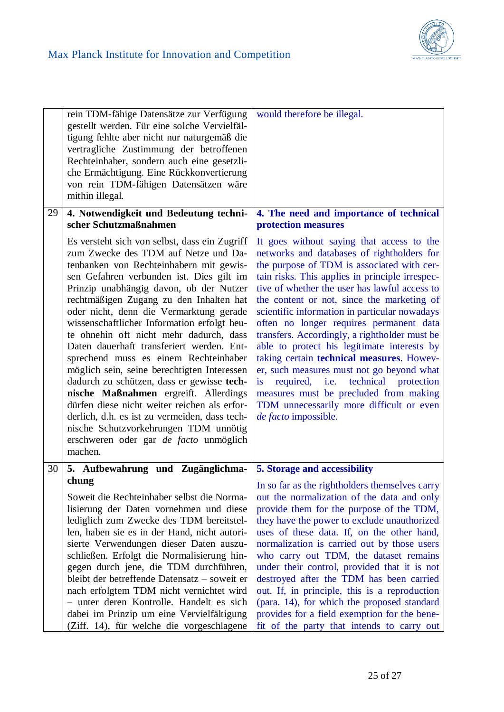

|    | rein TDM-fähige Datensätze zur Verfügung<br>gestellt werden. Für eine solche Vervielfäl-<br>tigung fehlte aber nicht nur naturgemäß die<br>vertragliche Zustimmung der betroffenen<br>Rechteinhaber, sondern auch eine gesetzli-<br>che Ermächtigung. Eine Rückkonvertierung<br>von rein TDM-fähigen Datensätzen wäre<br>mithin illegal.                                                                                                                                                                                                                                                                                                                                                                                                                                                                                           | would therefore be illegal.                                                                                                                                                                                                                                                                                                                                                                                                                                                                                                                                                                                                                                                                                                                              |
|----|------------------------------------------------------------------------------------------------------------------------------------------------------------------------------------------------------------------------------------------------------------------------------------------------------------------------------------------------------------------------------------------------------------------------------------------------------------------------------------------------------------------------------------------------------------------------------------------------------------------------------------------------------------------------------------------------------------------------------------------------------------------------------------------------------------------------------------|----------------------------------------------------------------------------------------------------------------------------------------------------------------------------------------------------------------------------------------------------------------------------------------------------------------------------------------------------------------------------------------------------------------------------------------------------------------------------------------------------------------------------------------------------------------------------------------------------------------------------------------------------------------------------------------------------------------------------------------------------------|
| 29 | 4. Notwendigkeit und Bedeutung techni-<br>scher Schutzmaßnahmen                                                                                                                                                                                                                                                                                                                                                                                                                                                                                                                                                                                                                                                                                                                                                                    | 4. The need and importance of technical<br>protection measures                                                                                                                                                                                                                                                                                                                                                                                                                                                                                                                                                                                                                                                                                           |
|    | Es versteht sich von selbst, dass ein Zugriff<br>zum Zwecke des TDM auf Netze und Da-<br>tenbanken von Rechteinhabern mit gewis-<br>sen Gefahren verbunden ist. Dies gilt im<br>Prinzip unabhängig davon, ob der Nutzer<br>rechtmäßigen Zugang zu den Inhalten hat<br>oder nicht, denn die Vermarktung gerade<br>wissenschaftlicher Information erfolgt heu-<br>te ohnehin oft nicht mehr dadurch, dass<br>Daten dauerhaft transferiert werden. Ent-<br>sprechend muss es einem Rechteinhaber<br>möglich sein, seine berechtigten Interessen<br>dadurch zu schützen, dass er gewisse tech-<br>nische Maßnahmen ergreift. Allerdings<br>dürfen diese nicht weiter reichen als erfor-<br>derlich, d.h. es ist zu vermeiden, dass tech-<br>nische Schutzvorkehrungen TDM unnötig<br>erschweren oder gar de facto unmöglich<br>machen. | It goes without saying that access to the<br>networks and databases of rightholders for<br>the purpose of TDM is associated with cer-<br>tain risks. This applies in principle irrespec-<br>tive of whether the user has lawful access to<br>the content or not, since the marketing of<br>scientific information in particular nowadays<br>often no longer requires permanent data<br>transfers. Accordingly, a rightholder must be<br>able to protect his legitimate interests by<br>taking certain technical measures. Howev-<br>er, such measures must not go beyond what<br>required,<br>technical<br>i.e.<br>protection<br><i>is</i><br>measures must be precluded from making<br>TDM unnecessarily more difficult or even<br>de facto impossible. |
| 30 | 5. Aufbewahrung und Zugänglichma-                                                                                                                                                                                                                                                                                                                                                                                                                                                                                                                                                                                                                                                                                                                                                                                                  | 5. Storage and accessibility                                                                                                                                                                                                                                                                                                                                                                                                                                                                                                                                                                                                                                                                                                                             |
|    | chung<br>Soweit die Rechteinhaber selbst die Norma-<br>lisierung der Daten vornehmen und diese<br>lediglich zum Zwecke des TDM bereitstel-<br>len, haben sie es in der Hand, nicht autori-<br>sierte Verwendungen dieser Daten auszu-<br>schließen. Erfolgt die Normalisierung hin-<br>gegen durch jene, die TDM durchführen,<br>bleibt der betreffende Datensatz - soweit er<br>nach erfolgtem TDM nicht vernichtet wird<br>- unter deren Kontrolle. Handelt es sich<br>dabei im Prinzip um eine Vervielfältigung<br>(Ziff. 14), für welche die vorgeschlagene                                                                                                                                                                                                                                                                    | In so far as the rightholders themselves carry<br>out the normalization of the data and only<br>provide them for the purpose of the TDM,<br>they have the power to exclude unauthorized<br>uses of these data. If, on the other hand,<br>normalization is carried out by those users<br>who carry out TDM, the dataset remains<br>under their control, provided that it is not<br>destroyed after the TDM has been carried<br>out. If, in principle, this is a reproduction<br>(para. 14), for which the proposed standard<br>provides for a field exemption for the bene-<br>fit of the party that intends to carry out                                                                                                                                 |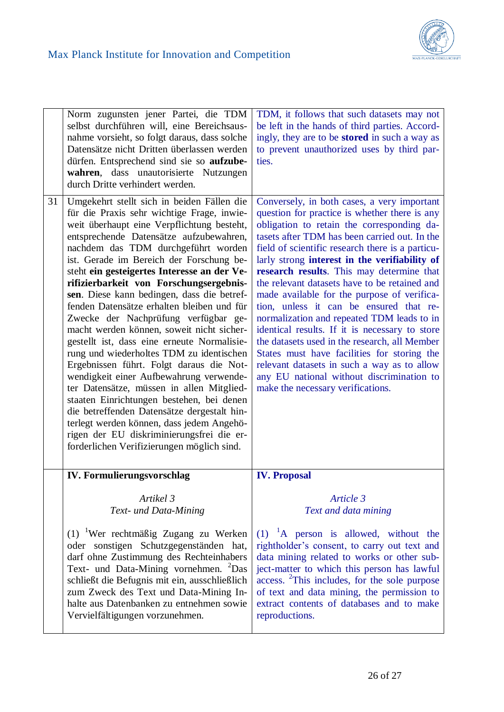

|    | Norm zugunsten jener Partei, die TDM<br>selbst durchführen will, eine Bereichsaus-<br>nahme vorsieht, so folgt daraus, dass solche<br>Datensätze nicht Dritten überlassen werden<br>dürfen. Entsprechend sind sie so aufzube-<br>wahren, dass unautorisierte Nutzungen<br>durch Dritte verhindert werden.                                                                                                                                                                                                                                                                                                                                                                                                                                                                                                                                                                                                                                                                                                          | TDM, it follows that such datasets may not<br>be left in the hands of third parties. Accord-<br>ingly, they are to be <b>stored</b> in such a way as<br>to prevent unauthorized uses by third par-<br>ties.                                                                                                                                                                                                                                                                                                                                                                                                                                                                                                                                                                                                               |
|----|--------------------------------------------------------------------------------------------------------------------------------------------------------------------------------------------------------------------------------------------------------------------------------------------------------------------------------------------------------------------------------------------------------------------------------------------------------------------------------------------------------------------------------------------------------------------------------------------------------------------------------------------------------------------------------------------------------------------------------------------------------------------------------------------------------------------------------------------------------------------------------------------------------------------------------------------------------------------------------------------------------------------|---------------------------------------------------------------------------------------------------------------------------------------------------------------------------------------------------------------------------------------------------------------------------------------------------------------------------------------------------------------------------------------------------------------------------------------------------------------------------------------------------------------------------------------------------------------------------------------------------------------------------------------------------------------------------------------------------------------------------------------------------------------------------------------------------------------------------|
| 31 | Umgekehrt stellt sich in beiden Fällen die<br>für die Praxis sehr wichtige Frage, inwie-<br>weit überhaupt eine Verpflichtung besteht,<br>entsprechende Datensätze aufzubewahren,<br>nachdem das TDM durchgeführt worden<br>ist. Gerade im Bereich der Forschung be-<br>steht ein gesteigertes Interesse an der Ve-<br>rifizierbarkeit von Forschungsergebnis-<br>sen. Diese kann bedingen, dass die betref-<br>fenden Datensätze erhalten bleiben und für<br>Zwecke der Nachprüfung verfügbar ge-<br>macht werden können, soweit nicht sicher-<br>gestellt ist, dass eine erneute Normalisie-<br>rung und wiederholtes TDM zu identischen<br>Ergebnissen führt. Folgt daraus die Not-<br>wendigkeit einer Aufbewahrung verwende-<br>ter Datensätze, müssen in allen Mitglied-<br>staaten Einrichtungen bestehen, bei denen<br>die betreffenden Datensätze dergestalt hin-<br>terlegt werden können, dass jedem Angehö-<br>rigen der EU diskriminierungsfrei die er-<br>forderlichen Verifizierungen möglich sind. | Conversely, in both cases, a very important<br>question for practice is whether there is any<br>obligation to retain the corresponding da-<br>tasets after TDM has been carried out. In the<br>field of scientific research there is a particu-<br>larly strong interest in the verifiability of<br>research results. This may determine that<br>the relevant datasets have to be retained and<br>made available for the purpose of verifica-<br>tion, unless it can be ensured that re-<br>normalization and repeated TDM leads to in<br>identical results. If it is necessary to store<br>the datasets used in the research, all Member<br>States must have facilities for storing the<br>relevant datasets in such a way as to allow<br>any EU national without discrimination to<br>make the necessary verifications. |
|    | <b>IV. Formulierungsvorschlag</b>                                                                                                                                                                                                                                                                                                                                                                                                                                                                                                                                                                                                                                                                                                                                                                                                                                                                                                                                                                                  | <b>IV. Proposal</b>                                                                                                                                                                                                                                                                                                                                                                                                                                                                                                                                                                                                                                                                                                                                                                                                       |
|    | Artikel 3<br>Text- und Data-Mining                                                                                                                                                                                                                                                                                                                                                                                                                                                                                                                                                                                                                                                                                                                                                                                                                                                                                                                                                                                 | Article 3<br>Text and data mining                                                                                                                                                                                                                                                                                                                                                                                                                                                                                                                                                                                                                                                                                                                                                                                         |
|    | $(1)$ Wer rechtmäßig Zugang zu Werken<br>oder sonstigen Schutzgegenständen hat,<br>darf ohne Zustimmung des Rechteinhabers<br>Text- und Data-Mining vornehmen. <sup>2</sup> Das<br>schließt die Befugnis mit ein, ausschließlich<br>zum Zweck des Text und Data-Mining In-<br>halte aus Datenbanken zu entnehmen sowie<br>Vervielfältigungen vorzunehmen.                                                                                                                                                                                                                                                                                                                                                                                                                                                                                                                                                                                                                                                          | $(1)$ <sup>1</sup> A person is allowed, without the<br>rightholder's consent, to carry out text and<br>data mining related to works or other sub-<br>ject-matter to which this person has lawful<br>access. <sup>2</sup> This includes, for the sole purpose<br>of text and data mining, the permission to<br>extract contents of databases and to make<br>reproductions.                                                                                                                                                                                                                                                                                                                                                                                                                                                 |